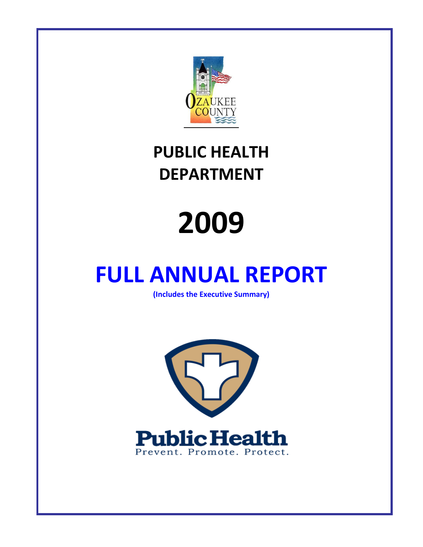

### **PUBLIC HEALTH DEPARTMENT**

# **2009**

## **FULL ANNUAL REPORT**

**(Includes the Executive Summary)**

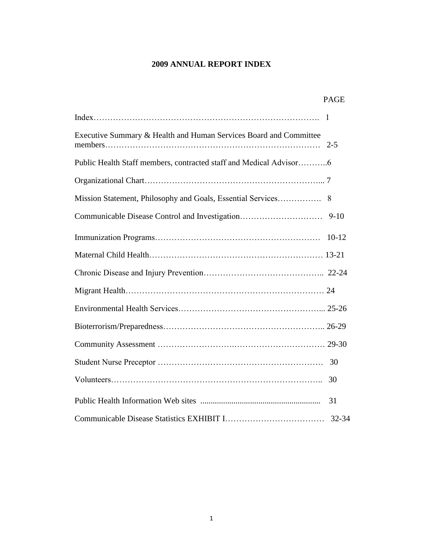#### **2009 ANNUAL REPORT INDEX**

|                                                                    | <b>PAGE</b> |  |
|--------------------------------------------------------------------|-------------|--|
|                                                                    |             |  |
| Executive Summary & Health and Human Services Board and Committee  |             |  |
| Public Health Staff members, contracted staff and Medical Advisor6 |             |  |
|                                                                    |             |  |
|                                                                    |             |  |
| Communicable Disease Control and Investigation                     | $9-10$      |  |
|                                                                    | $10-12$     |  |
|                                                                    |             |  |
|                                                                    |             |  |
|                                                                    |             |  |
|                                                                    |             |  |
|                                                                    |             |  |
|                                                                    |             |  |
|                                                                    | 30          |  |
|                                                                    | 30          |  |
|                                                                    | 31          |  |
|                                                                    | 32-34       |  |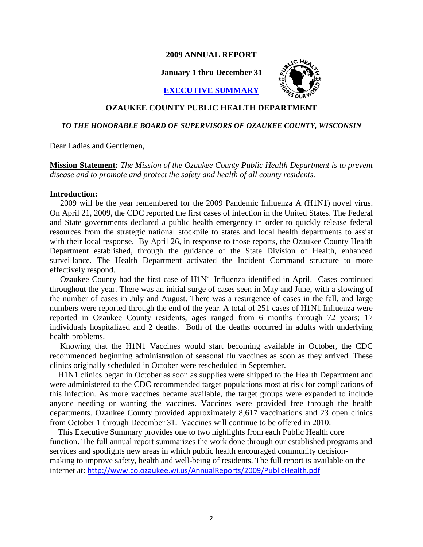#### **2009 ANNUAL REPORT**

**January 1 thru December 31**



**EXECUTIVE SUMMARY**

#### **OZAUKEE COUNTY PUBLIC HEALTH DEPARTMENT**

#### *TO THE HONORABLE BOARD OF SUPERVISORS OF OZAUKEE COUNTY, WISCONSIN*

Dear Ladies and Gentlemen,

**Mission Statement:** *The Mission of the Ozaukee County Public Health Department is to prevent disease and to promote and protect the safety and health of all county residents.*

#### **Introduction:**

 2009 will be the year remembered for the 2009 Pandemic Influenza A (H1N1) novel virus. On April 21, 2009, the CDC reported the first cases of infection in the United States. The Federal and State governments declared a public health emergency in order to quickly release federal resources from the strategic national stockpile to states and local health departments to assist with their local response. By April 26, in response to those reports, the Ozaukee County Health Department established, through the guidance of the State Division of Health, enhanced surveillance. The Health Department activated the Incident Command structure to more effectively respond.

 Ozaukee County had the first case of H1N1 Influenza identified in April. Cases continued throughout the year. There was an initial surge of cases seen in May and June, with a slowing of the number of cases in July and August. There was a resurgence of cases in the fall, and large numbers were reported through the end of the year. A total of 251 cases of H1N1 Influenza were reported in Ozaukee County residents, ages ranged from 6 months through 72 years; 17 individuals hospitalized and 2 deaths. Both of the deaths occurred in adults with underlying health problems.

 Knowing that the H1N1 Vaccines would start becoming available in October, the CDC recommended beginning administration of seasonal flu vaccines as soon as they arrived. These clinics originally scheduled in October were rescheduled in September.

 H1N1 clinics began in October as soon as supplies were shipped to the Health Department and were administered to the CDC recommended target populations most at risk for complications of this infection. As more vaccines became available, the target groups were expanded to include anyone needing or wanting the vaccines. Vaccines were provided free through the health departments. Ozaukee County provided approximately 8,617 vaccinations and 23 open clinics from October 1 through December 31. Vaccines will continue to be offered in 2010.

 This Executive Summary provides one to two highlights from each Public Health core function. The full annual report summarizes the work done through our established programs and services and spotlights new areas in which public health encouraged community decisionmaking to improve safety, health and well-being of residents. The full report is available on the internet at: <http://www.co.ozaukee.wi.us/AnnualReports/2009/PublicHealth.pdf>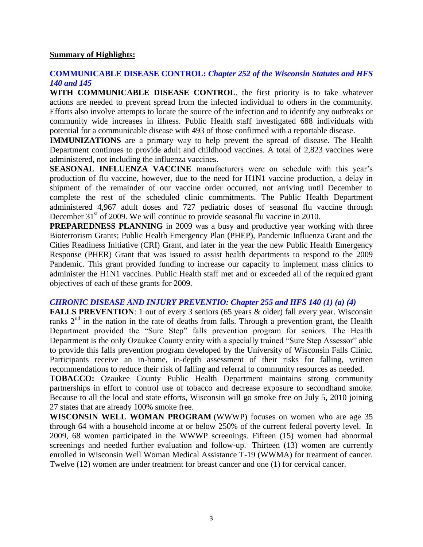#### **Summary of Highlights:**

#### **COMMUNICABLE DISEASE CONTROL:** *Chapter 252 of the Wisconsin Statutes and HFS 140 and 145*

**WITH COMMUNICABLE DISEASE CONTROL**, the first priority is to take whatever actions are needed to prevent spread from the infected individual to others in the community. Efforts also involve attempts to locate the source of the infection and to identify any outbreaks or community wide increases in illness. Public Health staff investigated 688 individuals with potential for a communicable disease with 493 of those confirmed with a reportable disease.

**IMMUNIZATIONS** are a primary way to help prevent the spread of disease. The Health Department continues to provide adult and childhood vaccines. A total of 2,823 vaccines were administered, not including the influenza vaccines.

**SEASONAL INFLUENZA VACCINE** manufacturers were on schedule with this year's production of flu vaccine, however, due to the need for H1N1 vaccine production, a delay in shipment of the remainder of our vaccine order occurred, not arriving until December to complete the rest of the scheduled clinic commitments. The Public Health Department administered 4,967 adult doses and 727 pediatric doses of seasonal flu vaccine through December  $31<sup>st</sup>$  of 2009. We will continue to provide seasonal flu vaccine in 2010.

**PREPAREDNESS PLANNING** in 2009 was a busy and productive year working with three Bioterrorism Grants; Public Health Emergency Plan (PHEP), Pandemic Influenza Grant and the Cities Readiness Initiative (CRI) Grant, and later in the year the new Public Health Emergency Response (PHER) Grant that was issued to assist health departments to respond to the 2009 Pandemic. This grant provided funding to increase our capacity to implement mass clinics to administer the H1N1 vaccines. Public Health staff met and or exceeded all of the required grant objectives of each of these grants for 2009.

#### *CHRONIC DISEASE AND INJURY PREVENTIO: Chapter 255 and HFS 140 (1) (a) (4)*

**FALLS PREVENTION**: 1 out of every 3 seniors (65 years & older) fall every year. Wisconsin ranks  $2<sup>nd</sup>$  in the nation in the rate of deaths from falls. Through a prevention grant, the Health Department provided the "Sure Step" falls prevention program for seniors. The Health Department is the only Ozaukee County entity with a specially trained "Sure Step Assessor" able to provide this falls prevention program developed by the University of Wisconsin Falls Clinic. Participants receive an in-home, in-depth assessment of their risks for falling, written recommendations to reduce their risk of falling and referral to community resources as needed.

**TOBACCO:** Ozaukee County Public Health Department maintains strong community partnerships in effort to control use of tobacco and decrease exposure to secondhand smoke. Because to all the local and state efforts, Wisconsin will go smoke free on July 5, 2010 joining 27 states that are already 100% smoke free.

**WISCONSIN WELL WOMAN PROGRAM** (WWWP) focuses on women who are age 35 through 64 with a household income at or below 250% of the current federal poverty level. In 2009, 68 women participated in the WWWP screenings. Fifteen (15) women had abnormal screenings and needed further evaluation and follow-up. Thirteen (13) women are currently enrolled in Wisconsin Well Woman Medical Assistance T-19 (WWMA) for treatment of cancer. Twelve (12) women are under treatment for breast cancer and one (1) for cervical cancer.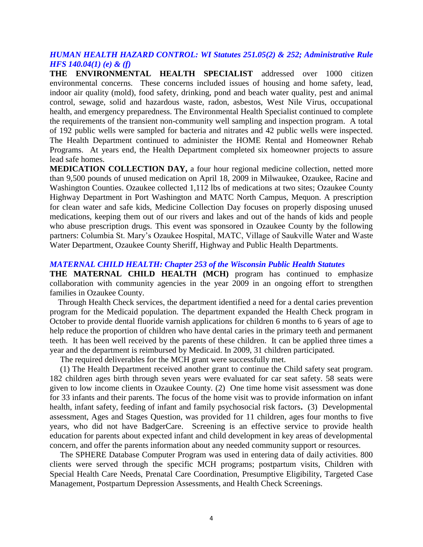#### *HUMAN HEALTH HAZARD CONTROL: WI Statutes 251.05(2) & 252; Administrative Rule HFS 140.04(1) (e) & (f)*

**THE ENVIRONMENTAL HEALTH SPECIALIST** addressed over 1000 citizen environmental concerns. These concerns included issues of housing and home safety, lead, indoor air quality (mold), food safety, drinking, pond and beach water quality, pest and animal control, sewage, solid and hazardous waste, radon, asbestos, West Nile Virus, occupational health, and emergency preparedness. The Environmental Health Specialist continued to complete the requirements of the transient non-community well sampling and inspection program. A total of 192 public wells were sampled for bacteria and nitrates and 42 public wells were inspected. The Health Department continued to administer the HOME Rental and Homeowner Rehab Programs. At years end, the Health Department completed six homeowner projects to assure lead safe homes.

**MEDICATION COLLECTION DAY,** a four hour regional medicine collection, netted more than 9,500 pounds of unused medication on April 18, 2009 in Milwaukee, Ozaukee, Racine and Washington Counties. Ozaukee collected 1,112 lbs of medications at two sites; Ozaukee County Highway Department in Port Washington and MATC North Campus, Mequon. A prescription for clean water and safe kids, Medicine Collection Day focuses on properly disposing unused medications, keeping them out of our rivers and lakes and out of the hands of kids and people who abuse prescription drugs. This event was sponsored in Ozaukee County by the following partners: Columbia St. Mary's Ozaukee Hospital, MATC, Village of Saukville Water and Waste Water Department, Ozaukee County Sheriff, Highway and Public Health Departments.

#### *MATERNAL CHILD HEALTH: Chapter 253 of the Wisconsin Public Health Statutes*

**THE MATERNAL CHILD HEALTH (MCH)** program has continued to emphasize collaboration with community agencies in the year 2009 in an ongoing effort to strengthen families in Ozaukee County.

 Through Health Check services, the department identified a need for a dental caries prevention program for the Medicaid population. The department expanded the Health Check program in October to provide dental fluoride varnish applications for children 6 months to 6 years of age to help reduce the proportion of children who have dental caries in the primary teeth and permanent teeth. It has been well received by the parents of these children. It can be applied three times a year and the department is reimbursed by Medicaid. In 2009, 31 children participated.

The required deliverables for the MCH grant were successfully met.

 (1) The Health Department received another grant to continue the Child safety seat program. 182 children ages birth through seven years were evaluated for car seat safety. 58 seats were given to low income clients in Ozaukee County. (2) One time home visit assessment was done for 33 infants and their parents. The focus of the home visit was to provide information on infant health, infant safety, feeding of infant and family psychosocial risk factors**.** (3) Developmental assessment, Ages and Stages Question, was provided for 11 children, ages four months to five years, who did not have BadgerCare. Screening is an effective service to provide health education for parents about expected infant and child development in key areas of developmental concern, and offer the parents information about any needed community support or resources.

 The SPHERE Database Computer Program was used in entering data of daily activities. 800 clients were served through the specific MCH programs; postpartum visits, Children with Special Health Care Needs, Prenatal Care Coordination, Presumptive Eligibility, Targeted Case Management, Postpartum Depression Assessments, and Health Check Screenings.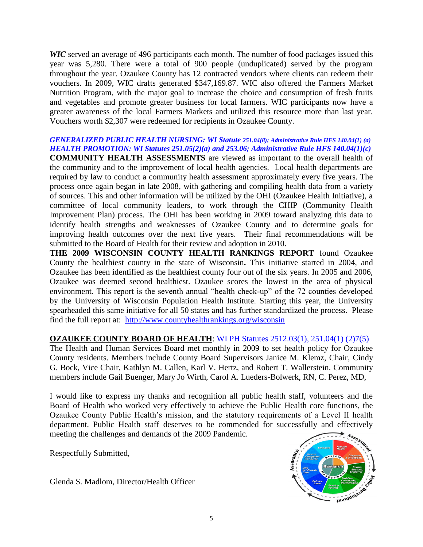*WIC* served an average of 496 participants each month. The number of food packages issued this year was 5,280. There were a total of 900 people (unduplicated) served by the program throughout the year. Ozaukee County has 12 contracted vendors where clients can redeem their vouchers. In 2009, WIC drafts generated \$347,169.87. WIC also offered the Farmers Market Nutrition Program, with the major goal to increase the choice and consumption of fresh fruits and vegetables and promote greater business for local farmers. WIC participants now have a greater awareness of the local Farmers Markets and utilized this resource more than last year. Vouchers worth \$2,307 were redeemed for recipients in Ozaukee County.

#### *GENERALIZED PUBLIC HEALTH NURSING: WI Statute 251.04(8); Administrative Rule HFS 140.04(1) (a) HEALTH PROMOTION: WI Statutes 251.05(2)(a) and 253.06; Administrative Rule HFS 140.04(1)(c)*

**COMMUNITY HEALTH ASSESSMENTS** are viewed as important to the overall health of the community and to the improvement of local health agencies. Local health departments are required by law to conduct a community health assessment approximately every five years. The process once again began in late 2008, with gathering and compiling health data from a variety of sources. This and other information will be utilized by the OHI (Ozaukee Health Initiative), a committee of local community leaders, to work through the CHIP (Community Health Improvement Plan) process. The OHI has been working in 2009 toward analyzing this data to identify health strengths and weaknesses of Ozaukee County and to determine goals for improving health outcomes over the next five years. Their final recommendations will be submitted to the Board of Health for their review and adoption in 2010.

**THE 2009 WISCONSIN COUNTY HEALTH RANKINGS REPORT** found Ozaukee County the healthiest county in the state of Wisconsin**.** This initiative started in 2004, and Ozaukee has been identified as the healthiest county four out of the six years. In 2005 and 2006, Ozaukee was deemed second healthiest. Ozaukee scores the lowest in the area of physical environment. This report is the seventh annual "health check-up" of the 72 counties developed by the University of Wisconsin Population Health Institute. Starting this year, the University spearheaded this same initiative for all 50 states and has further standardized the process. Please find the full report at: <http://www.countyhealthrankings.org/wisconsin>

#### **OZAUKEE COUNTY BOARD OF HEALTH**: WI PH Statutes 2512.03(1), 251.04(1) (2)7(5)

The Health and Human Services Board met monthly in 2009 to set health policy for Ozaukee County residents. Members include County Board Supervisors Janice M. Klemz, Chair, Cindy G. Bock, Vice Chair, Kathlyn M. Callen, Karl V. Hertz, and Robert T. Wallerstein. Community members include Gail Buenger, Mary Jo Wirth, Carol A. Lueders-Bolwerk, RN, C. Perez, MD,

I would like to express my thanks and recognition all public health staff, volunteers and the Board of Health who worked very effectively to achieve the Public Health core functions, the Ozaukee County Public Health's mission, and the statutory requirements of a Level II health department. Public Health staff deserves to be commended for successfully and effectively meeting the challenges and demands of the 2009 Pandemic.

Respectfully Submitted,

Glenda S. Madlom, Director/Health Officer

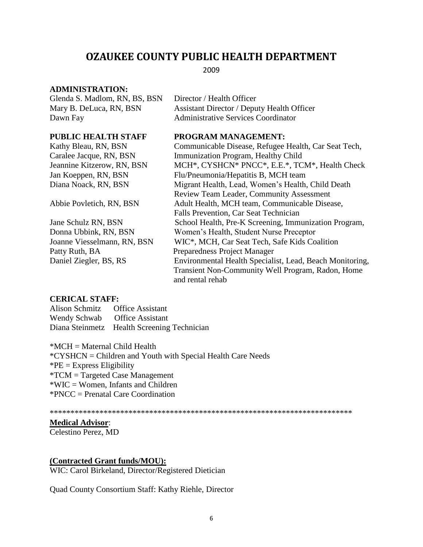#### **OZAUKEE COUNTY PUBLIC HEALTH DEPARTMENT**

2009

#### **ADMINISTRATION:**

Glenda S. Madlom, RN, BS, BSN Director / Health Officer

Mary B. DeLuca, RN, BSN Assistant Director / Deputy Health Officer Dawn Fay **Administrative Services Coordinator** 

Patty Ruth, BA Preparedness Project Manager

#### **PUBLIC HEALTH STAFF PROGRAM MANAGEMENT:**

Kathy Bleau, RN, BSN Communicable Disease, Refugee Health, Car Seat Tech, Caralee Jacque, RN, BSN Immunization Program, Healthy Child Jeannine Kitzerow, RN, BSN MCH\*, CYSHCN\* PNCC\*, E.E.\*, TCM\*, Health Check Jan Koeppen, RN, BSN Flu/Pneumonia/Hepatitis B, MCH team Diana Noack, RN, BSN Migrant Health, Lead, Women's Health, Child Death Review Team Leader, Community Assessment Abbie Povletich, RN, BSN Adult Health, MCH team, Communicable Disease, Falls Prevention, Car Seat Technician Jane Schulz RN, BSN School Health, Pre-K Screening, Immunization Program, Donna Ubbink, RN, BSN Women's Health, Student Nurse Preceptor Joanne Viesselmann, RN, BSN WIC\*, MCH, Car Seat Tech, Safe Kids Coalition Daniel Ziegler, BS, RS Environmental Health Specialist, Lead, Beach Monitoring, Transient Non-Community Well Program, Radon, Home and rental rehab

#### **CERICAL STAFF:**

Alison Schmitz Office Assistant Wendy Schwab Office Assistant Diana Steinmetz Health Screening Technician

\*MCH = Maternal Child Health

\*CYSHCN = Children and Youth with Special Health Care Needs  $P^*PE =$  Express Eligibility \*TCM = Targeted Case Management \*WIC = Women, Infants and Children \*PNCC = Prenatal Care Coordination

\*\*\*\*\*\*\*\*\*\*\*\*\*\*\*\*\*\*\*\*\*\*\*\*\*\*\*\*\*\*\*\*\*\*\*\*\*\*\*\*\*\*\*\*\*\*\*\*\*\*\*\*\*\*\*\*\*\*\*\*\*\*\*\*\*\*\*\*\*\*\*\*\*

#### **Medical Advisor**:

Celestino Perez, MD

#### **(Contracted Grant funds/MOU):**

WIC: Carol Birkeland, Director/Registered Dietician

Quad County Consortium Staff: Kathy Riehle, Director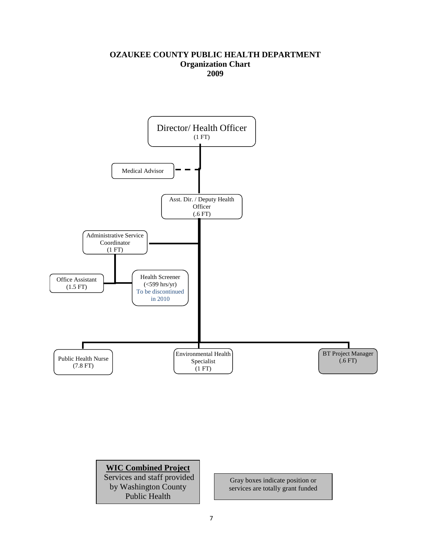#### **OZAUKEE COUNTY PUBLIC HEALTH DEPARTMENT Organization Chart 2009**





Gray boxes indicate position or services are totally grant funded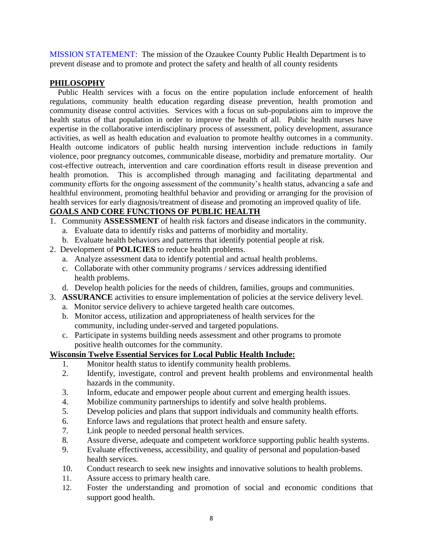MISSION STATEMENT: The mission of the Ozaukee County Public Health Department is to prevent disease and to promote and protect the safety and health of all county residents

#### **PHILOSOPHY**

 Public Health services with a focus on the entire population include enforcement of health regulations, community health education regarding disease prevention, health promotion and community disease control activities. Services with a focus on sub-populations aim to improve the health status of that population in order to improve the health of all. Public health nurses have expertise in the collaborative interdisciplinary process of assessment, policy development, assurance activities, as well as health education and evaluation to promote healthy outcomes in a community. Health outcome indicators of public health nursing intervention include reductions in family violence, poor pregnancy outcomes, communicable disease, morbidity and premature mortality. Our cost-effective outreach, intervention and care coordination efforts result in disease prevention and health promotion. This is accomplished through managing and facilitating departmental and community efforts for the ongoing assessment of the community's health status, advancing a safe and healthful environment, promoting healthful behavior and providing or arranging for the provision of health services for early diagnosis/treatment of disease and promoting an improved quality of life.

#### **GOALS AND CORE FUNCTIONS OF PUBLIC HEALTH**

- 1. Community **ASSESSMENT** of health risk factors and disease indicators in the community.
	- a. Evaluate data to identify risks and patterns of morbidity and mortality.
	- b. Evaluate health behaviors and patterns that identify potential people at risk.
- 2. Development of **POLICIES** to reduce health problems.
	- a. Analyze assessment data to identify potential and actual health problems.
	- c. Collaborate with other community programs / services addressing identified health problems.
	- d. Develop health policies for the needs of children, families, groups and communities.
- 3. **ASSURANCE** activities to ensure implementation of policies at the service delivery level.
	- a. Monitor service delivery to achieve targeted health care outcomes.
	- b. Monitor access, utilization and appropriateness of health services for the community, including under-served and targeted populations.
	- c. Participate in systems building needs assessment and other programs to promote positive health outcomes for the community.

#### **Wisconsin Twelve Essential Services for Local Public Health Include:**

- 1. Monitor health status to identify community health problems.
- 2. Identify, investigate, control and prevent health problems and environmental health hazards in the community.
- 3. Inform, educate and empower people about current and emerging health issues.
- 4. Mobilize community partnerships to identify and solve health problems.
- 5. Develop policies and plans that support individuals and community health efforts.
- 6. Enforce laws and regulations that protect health and ensure safety.
- 7. Link people to needed personal health services.
- 8. Assure diverse, adequate and competent workforce supporting public health systems.
- 9. Evaluate effectiveness, accessibility, and quality of personal and population-based health services.
- 10. Conduct research to seek new insights and innovative solutions to health problems.
- 11. Assure access to primary health care.
- 12. Foster the understanding and promotion of social and economic conditions that support good health.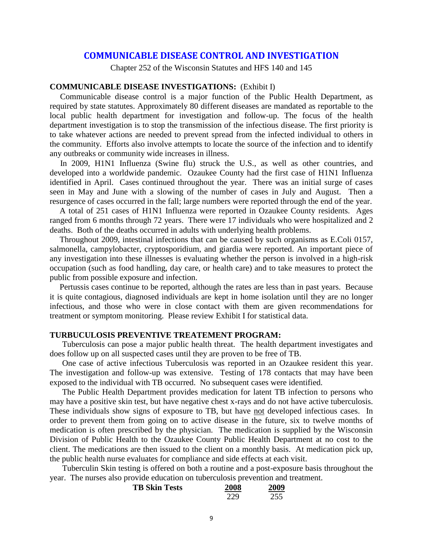#### **COMMUNICABLE DISEASE CONTROL AND INVESTIGATION**

Chapter 252 of the Wisconsin Statutes and HFS 140 and 145

#### **COMMUNICABLE DISEASE INVESTIGATIONS:** (Exhibit I)

 Communicable disease control is a major function of the Public Health Department, as required by state statutes. Approximately 80 different diseases are mandated as reportable to the local public health department for investigation and follow-up. The focus of the health department investigation is to stop the transmission of the infectious disease. The first priority is to take whatever actions are needed to prevent spread from the infected individual to others in the community. Efforts also involve attempts to locate the source of the infection and to identify any outbreaks or community wide increases in illness.

 In 2009, H1N1 Influenza (Swine flu) struck the U.S., as well as other countries, and developed into a worldwide pandemic. Ozaukee County had the first case of H1N1 Influenza identified in April. Cases continued throughout the year. There was an initial surge of cases seen in May and June with a slowing of the number of cases in July and August. Then a resurgence of cases occurred in the fall; large numbers were reported through the end of the year.

A total of 251 cases of H1N1 Influenza were reported in Ozaukee County residents. Ages ranged from 6 months through 72 years. There were 17 individuals who were hospitalized and 2 deaths. Both of the deaths occurred in adults with underlying health problems.

Throughout 2009, intestinal infections that can be caused by such organisms as E.Coli 0157, salmonella, campylobacter, cryptosporidium, and giardia were reported. An important piece of any investigation into these illnesses is evaluating whether the person is involved in a high-risk occupation (such as food handling, day care, or health care) and to take measures to protect the public from possible exposure and infection.

Pertussis cases continue to be reported, although the rates are less than in past years. Because it is quite contagious, diagnosed individuals are kept in home isolation until they are no longer infectious, and those who were in close contact with them are given recommendations for treatment or symptom monitoring. Please review Exhibit I for statistical data.

#### **TURBUCULOSIS PREVENTIVE TREATEMENT PROGRAM:**

Tuberculosis can pose a major public health threat. The health department investigates and does follow up on all suspected cases until they are proven to be free of TB.

One case of active infectious Tuberculosis was reported in an Ozaukee resident this year. The investigation and follow-up was extensive. Testing of 178 contacts that may have been exposed to the individual with TB occurred. No subsequent cases were identified.

The Public Health Department provides medication for latent TB infection to persons who may have a positive skin test, but have negative chest x-rays and do not have active tuberculosis. These individuals show signs of exposure to TB, but have not developed infectious cases. In order to prevent them from going on to active disease in the future, six to twelve months of medication is often prescribed by the physician. The medication is supplied by the Wisconsin Division of Public Health to the Ozaukee County Public Health Department at no cost to the client. The medications are then issued to the client on a monthly basis. At medication pick up, the public health nurse evaluates for compliance and side effects at each visit.

Tuberculin Skin testing is offered on both a routine and a post-exposure basis throughout the year. The nurses also provide education on tuberculosis prevention and treatment.

| <b>TB Skin Tests</b> | 2008 | 2009 |
|----------------------|------|------|
|                      | 229  | 255  |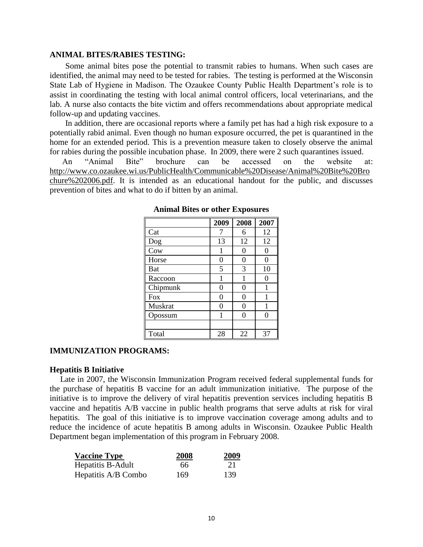#### **ANIMAL BITES/RABIES TESTING:**

Some animal bites pose the potential to transmit rabies to humans. When such cases are identified, the animal may need to be tested for rabies. The testing is performed at the Wisconsin State Lab of Hygiene in Madison. The Ozaukee County Public Health Department's role is to assist in coordinating the testing with local animal control officers, local veterinarians, and the lab. A nurse also contacts the bite victim and offers recommendations about appropriate medical follow-up and updating vaccines.

In addition, there are occasional reports where a family pet has had a high risk exposure to a potentially rabid animal. Even though no human exposure occurred, the pet is quarantined in the home for an extended period. This is a prevention measure taken to closely observe the animal for rabies during the possible incubation phase. In 2009, there were 2 such quarantines issued.

An "Animal Bite" brochure can be accessed on the website at: [http://www.co.ozaukee.wi.us/PublicHealth/Communicable%20Disease/Animal%20Bite%20Bro](http://www.co.ozaukee.wi.us/PublicHealth/Communicable%20Disease/Animal%20Bite%20Brochure%202006.pdf) [chure%202006.pdf.](http://www.co.ozaukee.wi.us/PublicHealth/Communicable%20Disease/Animal%20Bite%20Brochure%202006.pdf) It is intended as an educational handout for the public, and discusses prevention of bites and what to do if bitten by an animal.

|            | 2009 | 2008 | 2007 |
|------------|------|------|------|
| Cat        | 7    | 6    | 12   |
| Dog        | 13   | 12   | 12   |
| Cow        |      | 0    | 0    |
| Horse      | 0    | 0    | 0    |
| Bat        | 5    | 3    | 10   |
| Raccoon    |      | 1    | 0    |
| Chipmunk   | 0    | 0    | 1    |
| <b>Fox</b> | 0    | 0    | 1    |
| Muskrat    | 0    | 0    | 1    |
| Opossum    |      | ∩    | 0    |
|            |      |      |      |
| Total      | 28   | 22   | 37   |

**Animal Bites or other Exposures**

#### **IMMUNIZATION PROGRAMS:**

#### **Hepatitis B Initiative**

 Late in 2007, the Wisconsin Immunization Program received federal supplemental funds for the purchase of hepatitis B vaccine for an adult immunization initiative. The purpose of the initiative is to improve the delivery of viral hepatitis prevention services including hepatitis B vaccine and hepatitis A/B vaccine in public health programs that serve adults at risk for viral hepatitis. The goal of this initiative is to improve vaccination coverage among adults and to reduce the incidence of acute hepatitis B among adults in Wisconsin. Ozaukee Public Health Department began implementation of this program in February 2008.

| <b>Vaccine Type</b> | 2008 | 2009 |
|---------------------|------|------|
| Hepatitis B-Adult   | 66   | 21   |
| Hepatitis A/B Combo | 169  | 139  |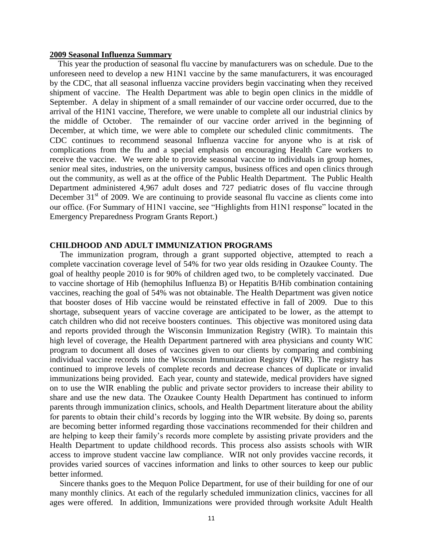#### **2009 Seasonal Influenza Summary**

 This year the production of seasonal flu vaccine by manufacturers was on schedule. Due to the unforeseen need to develop a new H1N1 vaccine by the same manufacturers, it was encouraged by the CDC, that all seasonal influenza vaccine providers begin vaccinating when they received shipment of vaccine. The Health Department was able to begin open clinics in the middle of September. A delay in shipment of a small remainder of our vaccine order occurred, due to the arrival of the H1N1 vaccine, Therefore, we were unable to complete all our industrial clinics by the middle of October. The remainder of our vaccine order arrived in the beginning of December, at which time, we were able to complete our scheduled clinic commitments. The CDC continues to recommend seasonal Influenza vaccine for anyone who is at risk of complications from the flu and a special emphasis on encouraging Health Care workers to receive the vaccine. We were able to provide seasonal vaccine to individuals in group homes, senior meal sites, industries, on the university campus, business offices and open clinics through out the community, as well as at the office of the Public Health Department. The Public Health Department administered 4,967 adult doses and 727 pediatric doses of flu vaccine through December  $31<sup>st</sup>$  of 2009. We are continuing to provide seasonal flu vaccine as clients come into our office. (For Summary of H1N1 vaccine, see "Highlights from H1N1 response" located in the Emergency Preparedness Program Grants Report.)

#### **CHILDHOOD AND ADULT IMMUNIZATION PROGRAMS**

 The immunization program, through a grant supported objective, attempted to reach a complete vaccination coverage level of 54% for two year olds residing in Ozaukee County. The goal of healthy people 2010 is for 90% of children aged two, to be completely vaccinated. Due to vaccine shortage of Hib (hemophilus Influenza B) or Hepatitis B/Hib combination containing vaccines, reaching the goal of 54% was not obtainable. The Health Department was given notice that booster doses of Hib vaccine would be reinstated effective in fall of 2009. Due to this shortage, subsequent years of vaccine coverage are anticipated to be lower, as the attempt to catch children who did not receive boosters continues. This objective was monitored using data and reports provided through the Wisconsin Immunization Registry (WIR). To maintain this high level of coverage, the Health Department partnered with area physicians and county WIC program to document all doses of vaccines given to our clients by comparing and combining individual vaccine records into the Wisconsin Immunization Registry (WIR). The registry has continued to improve levels of complete records and decrease chances of duplicate or invalid immunizations being provided. Each year, county and statewide, medical providers have signed on to use the WIR enabling the public and private sector providers to increase their ability to share and use the new data. The Ozaukee County Health Department has continued to inform parents through immunization clinics, schools, and Health Department literature about the ability for parents to obtain their child's records by logging into the WIR website. By doing so, parents are becoming better informed regarding those vaccinations recommended for their children and are helping to keep their family's records more complete by assisting private providers and the Health Department to update childhood records. This process also assists schools with WIR access to improve student vaccine law compliance. WIR not only provides vaccine records, it provides varied sources of vaccines information and links to other sources to keep our public better informed.

Sincere thanks goes to the Mequon Police Department, for use of their building for one of our many monthly clinics. At each of the regularly scheduled immunization clinics, vaccines for all ages were offered. In addition, Immunizations were provided through worksite Adult Health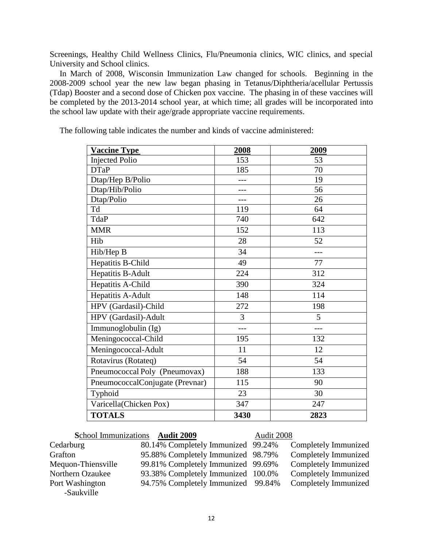Screenings, Healthy Child Wellness Clinics, Flu/Pneumonia clinics, WIC clinics, and special University and School clinics.

In March of 2008, Wisconsin Immunization Law changed for schools. Beginning in the 2008-2009 school year the new law began phasing in Tetanus/Diphtheria/acellular Pertussis (Tdap) Booster and a second dose of Chicken pox vaccine. The phasing in of these vaccines will be completed by the 2013-2014 school year, at which time; all grades will be incorporated into the school law update with their age/grade appropriate vaccine requirements.

| <b>Vaccine Type</b>             | 2008 | 2009 |
|---------------------------------|------|------|
| <b>Injected Polio</b>           | 153  | 53   |
| <b>DTaP</b>                     | 185  | 70   |
| Dtap/Hep B/Polio                |      | 19   |
| Dtap/Hib/Polio                  |      | 56   |
| Dtap/Polio                      |      | 26   |
| Td                              | 119  | 64   |
| TdaP                            | 740  | 642  |
| <b>MMR</b>                      | 152  | 113  |
| Hib                             | 28   | 52   |
| Hib/Hep B                       | 34   | ---  |
| Hepatitis B-Child               | 49   | 77   |
| Hepatitis B-Adult               | 224  | 312  |
| Hepatitis A-Child               | 390  | 324  |
| Hepatitis A-Adult               | 148  | 114  |
| HPV (Gardasil)-Child            | 272  | 198  |
| HPV (Gardasil)-Adult            | 3    | 5    |
| Immunoglobulin (Ig)             | ---  | ---  |
| Meningococcal-Child             | 195  | 132  |
| Meningococcal-Adult             | 11   | 12   |
| Rotavirus (Rotateq)             | 54   | 54   |
| Pneumococcal Poly (Pneumovax)   | 188  | 133  |
| PneumococcalConjugate (Prevnar) | 115  | 90   |
| Typhoid                         | 23   | 30   |
| Varicella(Chicken Pox)          | 347  | 247  |
| <b>TOTALS</b>                   | 3430 | 2823 |

The following table indicates the number and kinds of vaccine administered:

**S**chool Immunizations **Audit 2009** Audit 2008

-Saukville

Grafton 95.88% Completely Immunized 98.79% Completely Immunized Mequon-Thiensville 99.81% Completely Immunized 99.69% Completely Immunized Northern Ozaukee 93.38% Completely Immunized 100.0% Completely Immunized Port Washington 94.75% Completely Immunized99.84% Completely Immunized

Cedarburg 80.14% Completely Immunized 99.24% Completely Immunized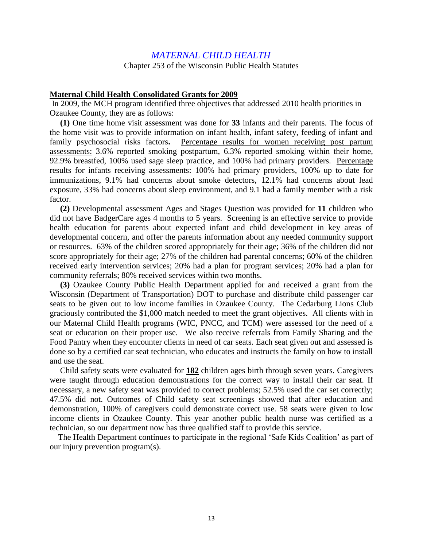#### *MATERNAL CHILD HEALTH*

Chapter 253 of the Wisconsin Public Health Statutes

#### **Maternal Child Health Consolidated Grants for 2009**

In 2009, the MCH program identified three objectives that addressed 2010 health priorities in Ozaukee County, they are as follows:

 **(1)** One time home visit assessment was done for **33** infants and their parents. The focus of the home visit was to provide information on infant health, infant safety, feeding of infant and family psychosocial risks factors**.** Percentage results for women receiving post partum assessments: 3.6% reported smoking postpartum, 6.3% reported smoking within their home, 92.9% breastfed, 100% used sage sleep practice, and 100% had primary providers. Percentage results for infants receiving assessments: 100% had primary providers, 100% up to date for immunizations, 9.1% had concerns about smoke detectors, 12.1% had concerns about lead exposure, 33% had concerns about sleep environment, and 9.1 had a family member with a risk factor.

 **(2)** Developmental assessment Ages and Stages Question was provided for **11** children who did not have BadgerCare ages 4 months to 5 years. Screening is an effective service to provide health education for parents about expected infant and child development in key areas of developmental concern, and offer the parents information about any needed community support or resources. 63% of the children scored appropriately for their age; 36% of the children did not score appropriately for their age; 27% of the children had parental concerns; 60% of the children received early intervention services; 20% had a plan for program services; 20% had a plan for community referrals; 80% received services within two months.

 **(3)** Ozaukee County Public Health Department applied for and received a grant from the Wisconsin (Department of Transportation) DOT to purchase and distribute child passenger car seats to be given out to low income families in Ozaukee County. The Cedarburg Lions Club graciously contributed the \$1,000 match needed to meet the grant objectives. All clients with in our Maternal Child Health programs (WIC, PNCC, and TCM) were assessed for the need of a seat or education on their proper use. We also receive referrals from Family Sharing and the Food Pantry when they encounter clients in need of car seats. Each seat given out and assessed is done so by a certified car seat technician, who educates and instructs the family on how to install and use the seat.

 Child safety seats were evaluated for **182** children ages birth through seven years. Caregivers were taught through education demonstrations for the correct way to install their car seat. If necessary, a new safety seat was provided to correct problems; 52.5% used the car set correctly; 47.5% did not. Outcomes of Child safety seat screenings showed that after education and demonstration, 100% of caregivers could demonstrate correct use. 58 seats were given to low income clients in Ozaukee County. This year another public health nurse was certified as a technician, so our department now has three qualified staff to provide this service.

The Health Department continues to participate in the regional 'Safe Kids Coalition' as part of our injury prevention program(s).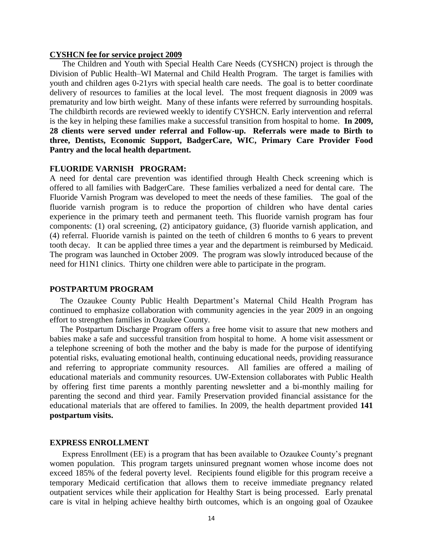#### **CYSHCN fee for service project 2009**

 The Children and Youth with Special Health Care Needs (CYSHCN) project is through the Division of Public Health–WI Maternal and Child Health Program. The target is families with youth and children ages 0-21yrs with special health care needs. The goal is to better coordinate delivery of resources to families at the local level. The most frequent diagnosis in 2009 was prematurity and low birth weight. Many of these infants were referred by surrounding hospitals. The childbirth records are reviewed weekly to identify CYSHCN. Early intervention and referral is the key in helping these families make a successful transition from hospital to home. **In 2009, 28 clients were served under referral and Follow-up. Referrals were made to Birth to three, Dentists, Economic Support, BadgerCare, WIC, Primary Care Provider Food Pantry and the local health department.**

#### **FLUORIDE VARNISH PROGRAM:**

A need for dental care prevention was identified through Health Check screening which is offered to all families with BadgerCare. These families verbalized a need for dental care. The Fluoride Varnish Program was developed to meet the needs of these families. The goal of the fluoride varnish program is to reduce the proportion of children who have dental caries experience in the primary teeth and permanent teeth. This fluoride varnish program has four components: (1) oral screening, (2) anticipatory guidance, (3) fluoride varnish application, and (4) referral. Fluoride varnish is painted on the teeth of children 6 months to 6 years to prevent tooth decay. It can be applied three times a year and the department is reimbursed by Medicaid. The program was launched in October 2009. The program was slowly introduced because of the need for H1N1 clinics. Thirty one children were able to participate in the program.

#### **POSTPARTUM PROGRAM**

 The Ozaukee County Public Health Department's Maternal Child Health Program has continued to emphasize collaboration with community agencies in the year 2009 in an ongoing effort to strengthen families in Ozaukee County.

 The Postpartum Discharge Program offers a free home visit to assure that new mothers and babies make a safe and successful transition from hospital to home. A home visit assessment or a telephone screening of both the mother and the baby is made for the purpose of identifying potential risks, evaluating emotional health, continuing educational needs, providing reassurance and referring to appropriate community resources. All families are offered a mailing of educational materials and community resources. UW-Extension collaborates with Public Health by offering first time parents a monthly parenting newsletter and a bi-monthly mailing for parenting the second and third year. Family Preservation provided financial assistance for the educational materials that are offered to families. In 2009, the health department provided **141 postpartum visits.**

#### **EXPRESS ENROLLMENT**

 Express Enrollment (EE) is a program that has been available to Ozaukee County's pregnant women population. This program targets uninsured pregnant women whose income does not exceed 185% of the federal poverty level. Recipients found eligible for this program receive a temporary Medicaid certification that allows them to receive immediate pregnancy related outpatient services while their application for Healthy Start is being processed. Early prenatal care is vital in helping achieve healthy birth outcomes, which is an ongoing goal of Ozaukee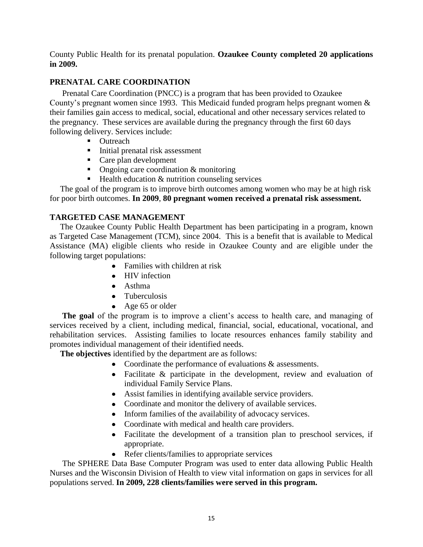County Public Health for its prenatal population. **Ozaukee County completed 20 applications in 2009.**

#### **PRENATAL CARE COORDINATION**

 Prenatal Care Coordination (PNCC) is a program that has been provided to Ozaukee County's pregnant women since 1993. This Medicaid funded program helps pregnant women & their families gain access to medical, social, educational and other necessary services related to the pregnancy. These services are available during the pregnancy through the first 60 days following delivery. Services include:

- Outreach
- **Initial prenatal risk assessment**
- Care plan development
- Ongoing care coordination  $&$  monitoring
- $\blacksquare$  Health education  $\&$  nutrition counseling services

 The goal of the program is to improve birth outcomes among women who may be at high risk for poor birth outcomes. **In 2009**, **80 pregnant women received a prenatal risk assessment.**

#### **TARGETED CASE MANAGEMENT**

 The Ozaukee County Public Health Department has been participating in a program, known as Targeted Case Management (TCM), since 2004. This is a benefit that is available to Medical Assistance (MA) eligible clients who reside in Ozaukee County and are eligible under the following target populations:

- Families with children at risk
- HIV infection
- Asthma
- Tuberculosis
- Age 65 or older

 **The goal** of the program is to improve a client's access to health care, and managing of services received by a client, including medical, financial, social, educational, vocational, and rehabilitation services. Assisting families to locate resources enhances family stability and promotes individual management of their identified needs.

 **The objectives** identified by the department are as follows:

- Coordinate the performance of evaluations  $\&$  assessments.
- Facilitate & participate in the development, review and evaluation of individual Family Service Plans.
- Assist families in identifying available service providers.
- Coordinate and monitor the delivery of available services.
- Inform families of the availability of advocacy services.
- Coordinate with medical and health care providers.
- Facilitate the development of a transition plan to preschool services, if appropriate.
- Refer clients/families to appropriate services

 The SPHERE Data Base Computer Program was used to enter data allowing Public Health Nurses and the Wisconsin Division of Health to view vital information on gaps in services for all populations served. **In 2009, 228 clients/families were served in this program.**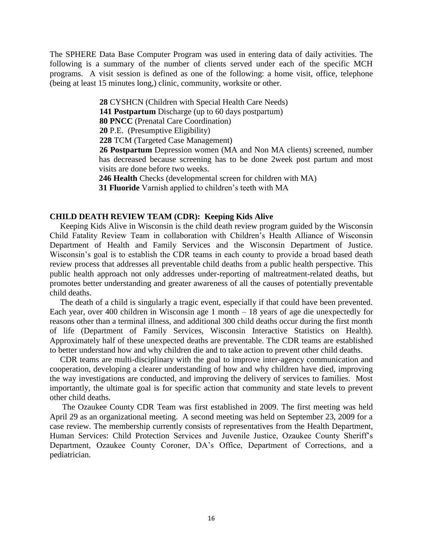The SPHERE Data Base Computer Program was used in entering data of daily activities. The following is a summary of the number of clients served under each of the specific MCH programs. A visit session is defined as one of the following: a home visit, office, telephone (being at least 15 minutes long,) clinic, community, worksite or other.

**28** CYSHCN (Children with Special Health Care Needs)

**141 Postpartum** Discharge (up to 60 days postpartum)

**80 PNCC** (Prenatal Care Coordination)

**20** P.E. (Presumptive Eligibility)

**228** TCM (Targeted Case Management)

**26 Postpartum** Depression women (MA and Non MA clients) screened, number has decreased because screening has to be done 2week post partum and most visits are done before two weeks.

**246 Health** Checks (developmental screen for children with MA)

**31 Fluoride** Varnish applied to children's teeth with MA

#### **CHILD DEATH REVIEW TEAM (CDR): Keeping Kids Alive**

 Keeping Kids Alive in Wisconsin is the child death review program guided by the Wisconsin Child Fatality Review Team in collaboration with Children's Health Alliance of Wisconsin Department of Health and Family Services and the Wisconsin Department of Justice. Wisconsin's goal is to establish the CDR teams in each county to provide a broad based death review process that addresses all preventable child deaths from a public health perspective. This public health approach not only addresses under-reporting of maltreatment-related deaths, but promotes better understanding and greater awareness of all the causes of potentially preventable child deaths.

 The death of a child is singularly a tragic event, especially if that could have been prevented. Each year, over 400 children in Wisconsin age 1 month – 18 years of age die unexpectedly for reasons other than a terminal illness, and additional 300 child deaths occur during the first month of life (Department of Family Services, Wisconsin Interactive Statistics on Health). Approximately half of these unexpected deaths are preventable. The CDR teams are established to better understand how and why children die and to take action to prevent other child deaths.

 CDR teams are multi-disciplinary with the goal to improve inter-agency communication and cooperation, developing a clearer understanding of how and why children have died, improving the way investigations are conducted, and improving the delivery of services to families. Most importantly, the ultimate goal is for specific action that community and state levels to prevent other child deaths.

 The Ozaukee County CDR Team was first established in 2009. The first meeting was held April 29 as an organizational meeting. A second meeting was held on September 23, 2009 for a case review. The membership currently consists of representatives from the Health Department, Human Services: Child Protection Services and Juvenile Justice, Ozaukee County Sheriff's Department, Ozaukee County Coroner, DA's Office, Department of Corrections, and a pediatrician.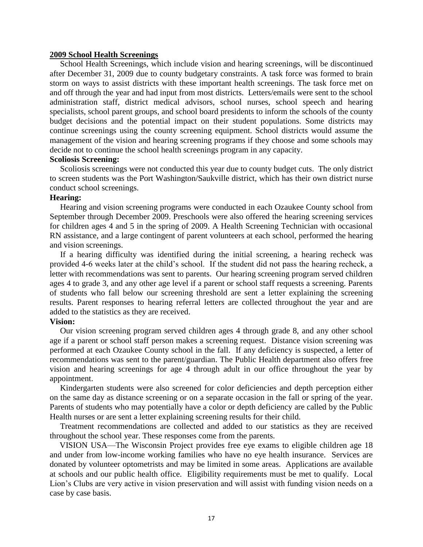#### **2009 School Health Screenings**

 School Health Screenings, which include vision and hearing screenings, will be discontinued after December 31, 2009 due to county budgetary constraints. A task force was formed to brain storm on ways to assist districts with these important health screenings. The task force met on and off through the year and had input from most districts. Letters/emails were sent to the school administration staff, district medical advisors, school nurses, school speech and hearing specialists, school parent groups, and school board presidents to inform the schools of the county budget decisions and the potential impact on their student populations. Some districts may continue screenings using the county screening equipment. School districts would assume the management of the vision and hearing screening programs if they choose and some schools may decide not to continue the school health screenings program in any capacity.

#### **Scoliosis Screening:**

Scoliosis screenings were not conducted this year due to county budget cuts. The only district to screen students was the Port Washington/Saukville district, which has their own district nurse conduct school screenings.

#### **Hearing:**

Hearing and vision screening programs were conducted in each Ozaukee County school from September through December 2009. Preschools were also offered the hearing screening services for children ages 4 and 5 in the spring of 2009. A Health Screening Technician with occasional RN assistance, and a large contingent of parent volunteers at each school, performed the hearing and vision screenings.

 If a hearing difficulty was identified during the initial screening, a hearing recheck was provided 4-6 weeks later at the child's school. If the student did not pass the hearing recheck, a letter with recommendations was sent to parents. Our hearing screening program served children ages 4 to grade 3, and any other age level if a parent or school staff requests a screening. Parents of students who fall below our screening threshold are sent a letter explaining the screening results. Parent responses to hearing referral letters are collected throughout the year and are added to the statistics as they are received.

#### **Vision:**

 Our vision screening program served children ages 4 through grade 8, and any other school age if a parent or school staff person makes a screening request. Distance vision screening was performed at each Ozaukee County school in the fall. If any deficiency is suspected, a letter of recommendations was sent to the parent/guardian. The Public Health department also offers free vision and hearing screenings for age 4 through adult in our office throughout the year by appointment.

 Kindergarten students were also screened for color deficiencies and depth perception either on the same day as distance screening or on a separate occasion in the fall or spring of the year. Parents of students who may potentially have a color or depth deficiency are called by the Public Health nurses or are sent a letter explaining screening results for their child.

 Treatment recommendations are collected and added to our statistics as they are received throughout the school year. These responses come from the parents.

VISION USA—The Wisconsin Project provides free eye exams to eligible children age 18 and under from low-income working families who have no eye health insurance. Services are donated by volunteer optometrists and may be limited in some areas. Applications are available at schools and our public health office. Eligibility requirements must be met to qualify. Local Lion's Clubs are very active in vision preservation and will assist with funding vision needs on a case by case basis.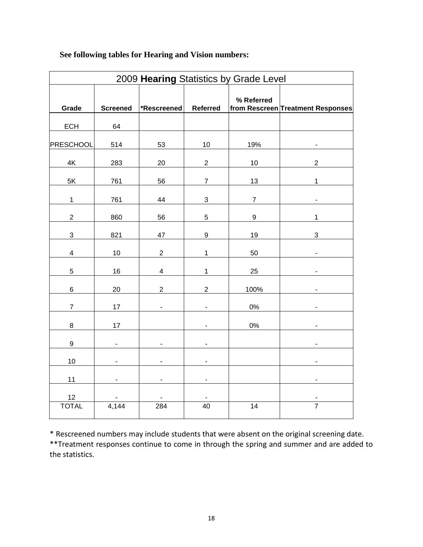| 2009 Hearing Statistics by Grade Level |                 |                          |                              |                 |                                   |  |  |  |
|----------------------------------------|-----------------|--------------------------|------------------------------|-----------------|-----------------------------------|--|--|--|
| Grade                                  | <b>Screened</b> | *Rescreened              | Referred                     | % Referred      | from Rescreen Treatment Responses |  |  |  |
| <b>ECH</b>                             | 64              |                          |                              |                 |                                   |  |  |  |
| PRESCHOOL                              | 514             | 53                       | 10                           | 19%             |                                   |  |  |  |
| $4\mathsf{K}$                          | 283             | 20                       | $\sqrt{2}$                   | 10              | $\overline{c}$                    |  |  |  |
| 5K                                     | 761             | 56                       | $\overline{7}$               | 13              | $\mathbf 1$                       |  |  |  |
| $\mathbf{1}$                           | 761             | 44                       | $\ensuremath{\mathsf{3}}$    | $\overline{7}$  | ä,                                |  |  |  |
| $\mathbf{2}$                           | 860             | 56                       | $\sqrt{5}$                   | 9               | 1                                 |  |  |  |
| $\ensuremath{\mathsf{3}}$              | 821             | 47                       | $\boldsymbol{9}$             | 19              | 3                                 |  |  |  |
| $\overline{\mathbf{4}}$                | 10              | $\overline{c}$           | $\overline{1}$               | 50              |                                   |  |  |  |
| $\overline{5}$                         | 16              | $\overline{\mathbf{4}}$  | $\mathbf 1$                  | 25              |                                   |  |  |  |
| $\,6$                                  | 20              | $\overline{2}$           | $\overline{2}$               | 100%            |                                   |  |  |  |
| $\boldsymbol{7}$                       | 17              |                          |                              | $0\%$           |                                   |  |  |  |
| $\bf8$                                 | $17$            |                          | L                            | $0\%$           |                                   |  |  |  |
| $\boldsymbol{9}$                       |                 |                          |                              |                 |                                   |  |  |  |
| $10$                                   | ٠               | $\overline{\phantom{0}}$ | $\qquad \qquad \blacksquare$ |                 |                                   |  |  |  |
| 11                                     | -               | -                        | -                            |                 | -                                 |  |  |  |
| 12                                     |                 |                          |                              |                 |                                   |  |  |  |
| <b>TOTAL</b>                           | 4,144           | 284                      | 40                           | $\overline{14}$ | $\overline{7}$                    |  |  |  |

### **See following tables for Hearing and Vision numbers:**

\* Rescreened numbers may include students that were absent on the original screening date. \*\*Treatment responses continue to come in through the spring and summer and are added to the statistics.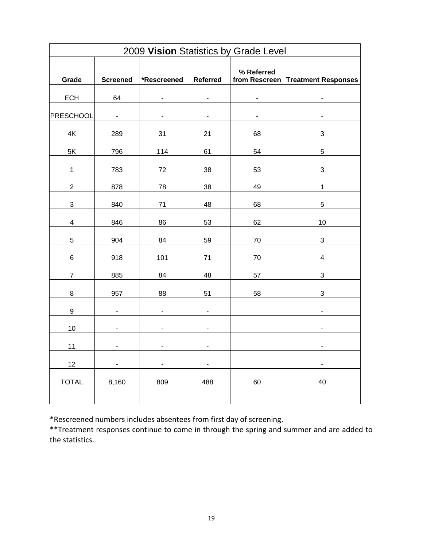|                           | 2009 Vision Statistics by Grade Level |                          |                          |                             |                            |  |  |  |  |
|---------------------------|---------------------------------------|--------------------------|--------------------------|-----------------------------|----------------------------|--|--|--|--|
| Grade                     | <b>Screened</b>                       | *Rescreened              | <b>Referred</b>          | % Referred<br>from Rescreen | <b>Treatment Responses</b> |  |  |  |  |
| <b>ECH</b>                | 64                                    | $\blacksquare$           | ä,                       |                             |                            |  |  |  |  |
| <b>PRESCHOOL</b>          | $\blacksquare$                        | $\overline{a}$           |                          |                             |                            |  |  |  |  |
| 4K                        | 289                                   | 31                       | 21                       | 68                          | 3                          |  |  |  |  |
| $5\mathsf{K}$             | 796                                   | 114                      | 61                       | 54                          | 5                          |  |  |  |  |
| $\mathbf{1}$              | 783                                   | 72                       | 38                       | 53                          | $\ensuremath{\mathsf{3}}$  |  |  |  |  |
| $\overline{2}$            | 878                                   | 78                       | 38                       | 49                          | $\mathbf{1}$               |  |  |  |  |
| $\ensuremath{\mathsf{3}}$ | 840                                   | $71$                     | 48                       | 68                          | 5                          |  |  |  |  |
| $\overline{\mathbf{4}}$   | 846                                   | 86                       | 53                       | 62                          | 10                         |  |  |  |  |
| $\overline{5}$            | 904                                   | 84                       | 59                       | 70                          | 3                          |  |  |  |  |
| $\,6$                     | 918                                   | 101                      | 71                       | 70                          | $\overline{\mathbf{4}}$    |  |  |  |  |
| $\boldsymbol{7}$          | 885                                   | 84                       | 48                       | 57                          | $\ensuremath{\mathsf{3}}$  |  |  |  |  |
| $\bf 8$                   | 957                                   | 88                       | 51                       | 58                          | $\mathbf{3}$               |  |  |  |  |
| $\boldsymbol{9}$          | $\blacksquare$                        | $\overline{\phantom{a}}$ | $\overline{\phantom{a}}$ |                             | $\blacksquare$             |  |  |  |  |
| 10                        |                                       |                          |                          |                             |                            |  |  |  |  |
|                           | $\overline{\phantom{0}}$              | $\overline{\phantom{a}}$ | -                        |                             | $\overline{\phantom{0}}$   |  |  |  |  |
| 11                        |                                       | $\blacksquare$           | ۰                        |                             |                            |  |  |  |  |
| 12                        |                                       | $\blacksquare$           | L,                       |                             | L.                         |  |  |  |  |
| <b>TOTAL</b>              | 8,160                                 | 809                      | 488                      | 60                          | 40                         |  |  |  |  |
|                           |                                       |                          |                          |                             |                            |  |  |  |  |

\*Rescreened numbers includes absentees from first day of screening.

\*\*Treatment responses continue to come in through the spring and summer and are added to the statistics.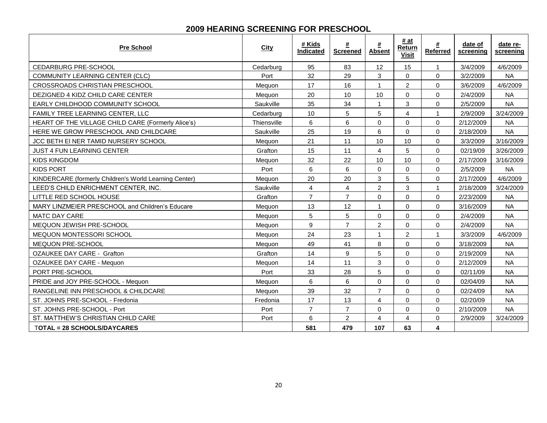#### **2009 HEARING SCREENING FOR PRESCHOOL**

| <b>Pre School</b>                                      | <b>City</b> | # Kids<br>Indicated     | #<br><b>Screened</b> | #<br><b>Absent</b>      | # at<br>Return<br><b>Visit</b> | #<br><b>Referred</b> | date of<br>screening | date re-<br>screening |
|--------------------------------------------------------|-------------|-------------------------|----------------------|-------------------------|--------------------------------|----------------------|----------------------|-----------------------|
| <b>CEDARBURG PRE-SCHOOL</b>                            | Cedarburg   | 95                      | 83                   | 12                      | 15                             | $\mathbf{1}$         | 3/4/2009             | 4/6/2009              |
| <b>COMMUNITY LEARNING CENTER (CLC)</b>                 | Port        | 32                      | 29                   | 3                       | $\Omega$                       | $\Omega$             | 3/2/2009             | <b>NA</b>             |
| CROSSROADS CHRISTIAN PRESCHOOL                         | Mequon      | 17                      | 16                   | $\mathbf{1}$            | $\overline{c}$                 | $\mathbf 0$          | 3/6/2009             | 4/6/2009              |
| DEZIGNED 4 KIDZ CHILD CARE CENTER                      | Meguon      | 20                      | 10                   | 10                      | $\Omega$                       | $\Omega$             | 2/4/2009             | <b>NA</b>             |
| EARLY CHILDHOOD COMMUNITY SCHOOL                       | Saukville   | 35                      | 34                   | $\mathbf{1}$            | 3                              | $\mathbf 0$          | 2/5/2009             | <b>NA</b>             |
| FAMILY TREE LEARNING CENTER, LLC                       | Cedarburg   | 10                      | 5                    | 5                       | 4                              | $\mathbf{1}$         | 2/9/2009             | 3/24/2009             |
| HEART OF THE VILLAGE CHILD CARE (Formerly Alice's)     | Thiensville | 6                       | 6                    | $\mathbf 0$             | $\Omega$                       | $\Omega$             | 2/12/2009            | <b>NA</b>             |
| HERE WE GROW PRESCHOOL AND CHILDCARE                   | Saukville   | 25                      | 19                   | 6                       | $\Omega$                       | $\Omega$             | 2/18/2009            | <b>NA</b>             |
| JCC BETH EI NER TAMID NURSERY SCHOOL                   | Mequon      | 21                      | 11                   | 10                      | 10                             | 0                    | 3/3/2009             | 3/16/2009             |
| <b>JUST 4 FUN LEARNING CENTER</b>                      | Grafton     | 15                      | 11                   | $\overline{4}$          | 5                              | $\Omega$             | 02/19/09             | 3/26/2009             |
| <b>KIDS KINGDOM</b>                                    | Mequon      | 32                      | 22                   | 10                      | 10                             | 0                    | 2/17/2009            | 3/16/2009             |
| <b>KIDS PORT</b>                                       | Port        | 6                       | 6                    | $\Omega$                | $\Omega$                       | $\Omega$             | 2/5/2009             | <b>NA</b>             |
| KINDERCARE (formerly Children's World Learning Center) | Meguon      | 20                      | 20                   | 3                       | 5                              | $\mathbf 0$          | 2/17/2009            | 4/6/2009              |
| LEED'S CHILD ENRICHMENT CENTER, INC.                   | Saukville   | $\overline{\mathbf{4}}$ | 4                    | $\overline{2}$          | 3                              | $\mathbf{1}$         | 2/18/2009            | 3/24/2009             |
| LITTLE RED SCHOOL HOUSE                                | Grafton     | $\overline{7}$          | $\overline{7}$       | $\Omega$                | $\Omega$                       | $\Omega$             | 2/23/2009            | <b>NA</b>             |
| MARY LINZMEIER PRESCHOOL and Children's Educare        | Meguon      | 13                      | 12                   | $\mathbf{1}$            | $\Omega$                       | $\Omega$             | 3/16/2009            | <b>NA</b>             |
| <b>MATC DAY CARE</b>                                   | Meguon      | 5                       | 5                    | $\mathbf 0$             | 0                              | $\Omega$             | 2/4/2009             | <b>NA</b>             |
| MEQUON JEWISH PRE-SCHOOL                               | Mequon      | $\boldsymbol{9}$        | $\overline{7}$       | $\overline{2}$          | $\Omega$                       | $\Omega$             | 2/4/2009             | <b>NA</b>             |
| MEQUON MONTESSORI SCHOOL                               | Mequon      | 24                      | 23                   | $\mathbf{1}$            | $\overline{2}$                 | $\mathbf{1}$         | 3/3/2009             | 4/6/2009              |
| MEQUON PRE-SCHOOL                                      | Mequon      | 49                      | 41                   | 8                       | 0                              | $\Omega$             | 3/18/2009            | <b>NA</b>             |
| <b>OZAUKEE DAY CARE - Grafton</b>                      | Grafton     | 14                      | 9                    | 5                       | $\overline{0}$                 | $\mathbf 0$          | 2/19/2009            | <b>NA</b>             |
| OZAUKEE DAY CARE - Mequon                              | Mequon      | 14                      | 11                   | $\sqrt{3}$              | 0                              | $\mathbf 0$          | 2/12/2009            | <b>NA</b>             |
| PORT PRE-SCHOOL                                        | Port        | 33                      | 28                   | 5                       | $\Omega$                       | $\Omega$             | 02/11/09             | <b>NA</b>             |
| PRIDE and JOY PRE-SCHOOL - Mequon                      | Mequon      | 6                       | 6                    | $\mathbf 0$             | $\Omega$                       | $\mathbf 0$          | 02/04/09             | <b>NA</b>             |
| RANGELINE INN PRESCHOOL & CHILDCARE                    | Mequon      | 39                      | 32                   | $\overline{7}$          | 0                              | $\mathbf 0$          | 02/24/09             | <b>NA</b>             |
| ST. JOHNS PRE-SCHOOL - Fredonia                        | Fredonia    | 17                      | 13                   | $\overline{4}$          | 0                              | 0                    | 02/20/09             | <b>NA</b>             |
| ST. JOHNS PRE-SCHOOL - Port                            | Port        | $\overline{7}$          | $\overline{7}$       | $\Omega$                | $\Omega$                       | $\Omega$             | 2/10/2009            | <b>NA</b>             |
| ST. MATTHEW'S CHRISTIAN CHILD CARE                     | Port        | $6\phantom{1}$          | $\overline{c}$       | $\overline{\mathbf{4}}$ | 4                              | $\mathbf 0$          | 2/9/2009             | 3/24/2009             |
| <b>TOTAL = 28 SCHOOLS/DAYCARES</b>                     |             | 581                     | 479                  | 107                     | 63                             | 4                    |                      |                       |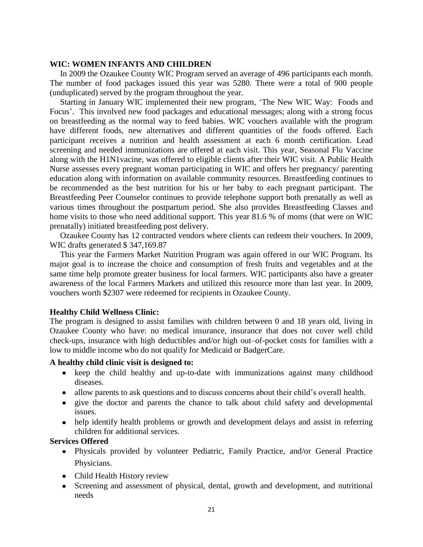#### **WIC: WOMEN INFANTS AND CHILDREN**

 In 2009 the Ozaukee County WIC Program served an average of 496 participants each month. The number of food packages issued this year was 5280. There were a total of 900 people (unduplicated) served by the program throughout the year.

Starting in January WIC implemented their new program, 'The New WIC Way: Foods and Focus'. This involved new food packages and educational messages; along with a strong focus on breastfeeding as the normal way to feed babies. WIC vouchers available with the program have different foods, new alternatives and different quantities of the foods offered. Each participant receives a nutrition and health assessment at each 6 month certification. Lead screening and needed immunizations are offered at each visit. This year, Seasonal Flu Vaccine along with the H1N1vacine, was offered to eligible clients after their WIC visit. A Public Health Nurse assesses every pregnant woman participating in WIC and offers her pregnancy/ parenting education along with information on available community resources. Breastfeeding continues to be recommended as the best nutrition for his or her baby to each pregnant participant. The Breastfeeding Peer Counselor continues to provide telephone support both prenatally as well as various times throughout the postpartum period. She also provides Breastfeeding Classes and home visits to those who need additional support. This year 81.6 % of moms (that were on WIC prenatally) initiated breastfeeding post delivery.

 Ozaukee County has 12 contracted vendors where clients can redeem their vouchers. In 2009, WIC drafts generated \$ 347,169.87

 This year the Farmers Market Nutrition Program was again offered in our WIC Program. Its major goal is to increase the choice and consumption of fresh fruits and vegetables and at the same time help promote greater business for local farmers. WIC participants also have a greater awareness of the local Farmers Markets and utilized this resource more than last year. In 2009, vouchers worth \$2307 were redeemed for recipients in Ozaukee County.

#### **Healthy Child Wellness Clinic:**

The program is designed to assist families with children between 0 and 18 years old, living in Ozaukee County who have: no medical insurance, insurance that does not cover well child check-ups, insurance with high deductibles and/or high out–of-pocket costs for families with a low to middle income who do not qualify for Medicaid or BadgerCare.

#### **A healthy child clinic visit is designed to:**

- keep the child healthy and up-to-date with immunizations against many childhood diseases.
- allow parents to ask questions and to discuss concerns about their child's overall health.
- give the doctor and parents the chance to talk about child safety and developmental issues.
- help identify health problems or growth and development delays and assist in referring children for additional services.

#### **Services Offered**

- Physicals provided by volunteer Pediatric, Family Practice, and/or General Practice Physicians.
- Child Health History review
- Screening and assessment of physical, dental, growth and development, and nutritional needs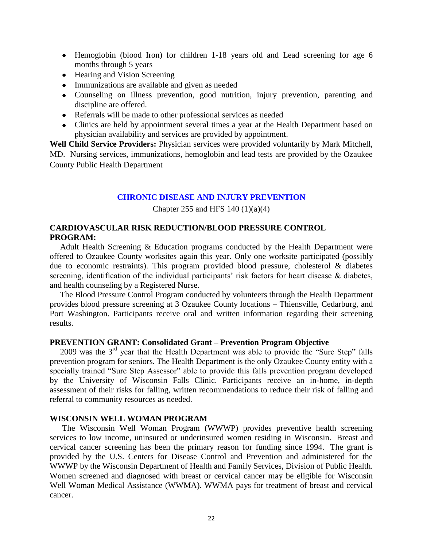- Hemoglobin (blood Iron) for children 1-18 years old and Lead screening for age 6 months through 5 years
- Hearing and Vision Screening
- Immunizations are available and given as needed
- Counseling on illness prevention, good nutrition, injury prevention, parenting and discipline are offered.
- Referrals will be made to other professional services as needed
- Clinics are held by appointment several times a year at the Health Department based on physician availability and services are provided by appointment.

**Well Child Service Providers:** Physician services were provided voluntarily by Mark Mitchell, MD. Nursing services, immunizations, hemoglobin and lead tests are provided by the Ozaukee County Public Health Department

#### **CHRONIC DISEASE AND INJURY PREVENTION**

Chapter 255 and HFS 140  $(1)(a)(4)$ 

#### **CARDIOVASCULAR RISK REDUCTION/BLOOD PRESSURE CONTROL PROGRAM:**

 Adult Health Screening & Education programs conducted by the Health Department were offered to Ozaukee County worksites again this year. Only one worksite participated (possibly due to economic restraints). This program provided blood pressure, cholesterol  $\&$  diabetes screening, identification of the individual participants' risk factors for heart disease & diabetes, and health counseling by a Registered Nurse.

 The Blood Pressure Control Program conducted by volunteers through the Health Department provides blood pressure screening at 3 Ozaukee County locations – Thiensville, Cedarburg, and Port Washington. Participants receive oral and written information regarding their screening results.

#### **PREVENTION GRANT: Consolidated Grant – Prevention Program Objective**

2009 was the  $3<sup>rd</sup>$  year that the Health Department was able to provide the "Sure Step" falls prevention program for seniors. The Health Department is the only Ozaukee County entity with a specially trained "Sure Step Assessor" able to provide this falls prevention program developed by the University of Wisconsin Falls Clinic. Participants receive an in-home, in-depth assessment of their risks for falling, written recommendations to reduce their risk of falling and referral to community resources as needed.

#### **WISCONSIN WELL WOMAN PROGRAM**

 The Wisconsin Well Woman Program (WWWP) provides preventive health screening services to low income, uninsured or underinsured women residing in Wisconsin. Breast and cervical cancer screening has been the primary reason for funding since 1994. The grant is provided by the U.S. Centers for Disease Control and Prevention and administered for the WWWP by the Wisconsin Department of Health and Family Services, Division of Public Health. Women screened and diagnosed with breast or cervical cancer may be eligible for Wisconsin Well Woman Medical Assistance (WWMA). WWMA pays for treatment of breast and cervical cancer.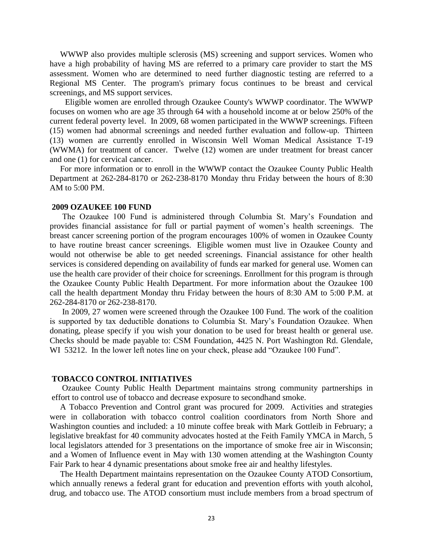WWWP also provides multiple sclerosis (MS) screening and support services. Women who have a high probability of having MS are referred to a primary care provider to start the MS assessment. Women who are determined to need further diagnostic testing are referred to a Regional MS Center. The program's primary focus continues to be breast and cervical screenings, and MS support services.

 Eligible women are enrolled through Ozaukee County's WWWP coordinator. The WWWP focuses on women who are age 35 through 64 with a household income at or below 250% of the current federal poverty level. In 2009, 68 women participated in the WWWP screenings. Fifteen (15) women had abnormal screenings and needed further evaluation and follow-up. Thirteen (13) women are currently enrolled in Wisconsin Well Woman Medical Assistance T-19 (WWMA) for treatment of cancer. Twelve (12) women are under treatment for breast cancer and one (1) for cervical cancer.

 For more information or to enroll in the WWWP contact the Ozaukee County Public Health Department at 262-284-8170 or 262-238-8170 Monday thru Friday between the hours of 8:30 AM to 5:00 PM.

#### **2009 OZAUKEE 100 FUND**

 The Ozaukee 100 Fund is administered through Columbia St. Mary's Foundation and provides financial assistance for full or partial payment of women's health screenings. The breast cancer screening portion of the program encourages 100% of women in Ozaukee County to have routine breast cancer screenings. Eligible women must live in Ozaukee County and would not otherwise be able to get needed screenings. Financial assistance for other health services is considered depending on availability of funds ear marked for general use. Women can use the health care provider of their choice for screenings. Enrollment for this program is through the Ozaukee County Public Health Department. For more information about the Ozaukee 100 call the health department Monday thru Friday between the hours of 8:30 AM to 5:00 P.M. at 262-284-8170 or 262-238-8170.

 In 2009, 27 women were screened through the Ozaukee 100 Fund. The work of the coalition is supported by tax deductible donations to Columbia St. Mary's Foundation Ozaukee. When donating, please specify if you wish your donation to be used for breast health or general use. Checks should be made payable to: CSM Foundation, 4425 N. Port Washington Rd. Glendale, WI 53212. In the lower left notes line on your check, please add "Ozaukee 100 Fund".

#### **TOBACCO CONTROL INITIATIVES**

 Ozaukee County Public Health Department maintains strong community partnerships in effort to control use of tobacco and decrease exposure to secondhand smoke.

 A Tobacco Prevention and Control grant was procured for 2009. Activities and strategies were in collaboration with tobacco control coalition coordinators from North Shore and Washington counties and included: a 10 minute coffee break with Mark Gottleib in February; a legislative breakfast for 40 community advocates hosted at the Feith Family YMCA in March, 5 local legislators attended for 3 presentations on the importance of smoke free air in Wisconsin; and a Women of Influence event in May with 130 women attending at the Washington County Fair Park to hear 4 dynamic presentations about smoke free air and healthy lifestyles.

 The Health Department maintains representation on the Ozaukee County ATOD Consortium, which annually renews a federal grant for education and prevention efforts with youth alcohol, drug, and tobacco use. The ATOD consortium must include members from a broad spectrum of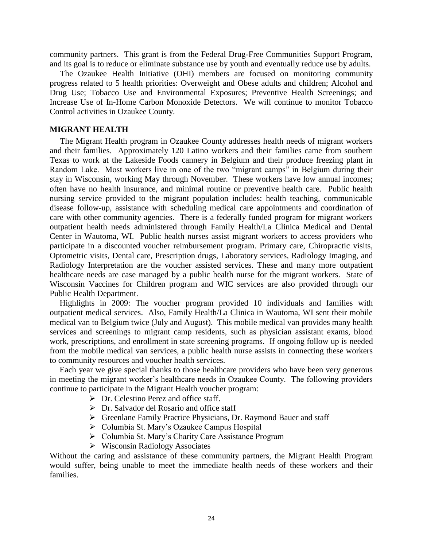community partners. This grant is from the Federal Drug-Free Communities Support Program, and its goal is to reduce or eliminate substance use by youth and eventually reduce use by adults.

 The Ozaukee Health Initiative (OHI) members are focused on monitoring community progress related to 5 health priorities: Overweight and Obese adults and children; Alcohol and Drug Use; Tobacco Use and Environmental Exposures; Preventive Health Screenings; and Increase Use of In-Home Carbon Monoxide Detectors. We will continue to monitor Tobacco Control activities in Ozaukee County.

#### **MIGRANT HEALTH**

 The Migrant Health program in Ozaukee County addresses health needs of migrant workers and their families. Approximately 120 Latino workers and their families came from southern Texas to work at the Lakeside Foods cannery in Belgium and their produce freezing plant in Random Lake. Most workers live in one of the two "migrant camps" in Belgium during their stay in Wisconsin, working May through November. These workers have low annual incomes; often have no health insurance, and minimal routine or preventive health care. Public health nursing service provided to the migrant population includes: health teaching, communicable disease follow-up, assistance with scheduling medical care appointments and coordination of care with other community agencies. There is a federally funded program for migrant workers outpatient health needs administered through Family Health/La Clinica Medical and Dental Center in Wautoma, WI. Public health nurses assist migrant workers to access providers who participate in a discounted voucher reimbursement program. Primary care, Chiropractic visits, Optometric visits, Dental care, Prescription drugs, Laboratory services, Radiology Imaging, and Radiology Interpretation are the voucher assisted services. These and many more outpatient healthcare needs are case managed by a public health nurse for the migrant workers. State of Wisconsin Vaccines for Children program and WIC services are also provided through our Public Health Department.

Highlights in 2009: The voucher program provided 10 individuals and families with outpatient medical services. Also, Family Health/La Clinica in Wautoma, WI sent their mobile medical van to Belgium twice (July and August). This mobile medical van provides many health services and screenings to migrant camp residents, such as physician assistant exams, blood work, prescriptions, and enrollment in state screening programs. If ongoing follow up is needed from the mobile medical van services, a public health nurse assists in connecting these workers to community resources and voucher health services.

Each year we give special thanks to those healthcare providers who have been very generous in meeting the migrant worker's healthcare needs in Ozaukee County. The following providers continue to participate in the Migrant Health voucher program:

- $\triangleright$  Dr. Celestino Perez and office staff.
- $\triangleright$  Dr. Salvador del Rosario and office staff
- Greenlane Family Practice Physicians, Dr. Raymond Bauer and staff
- Columbia St. Mary's Ozaukee Campus Hospital
- ▶ Columbia St. Mary's Charity Care Assistance Program
- $\triangleright$  Wisconsin Radiology Associates

Without the caring and assistance of these community partners, the Migrant Health Program would suffer, being unable to meet the immediate health needs of these workers and their families.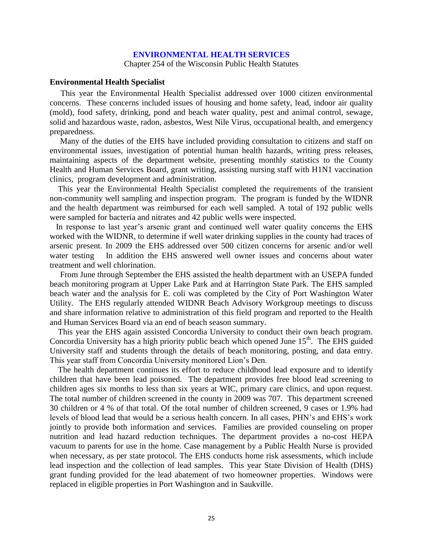#### **ENVIRONMENTAL HEALTH SERVICES**

Chapter 254 of the Wisconsin Public Health Statutes

#### **Environmental Health Specialist**

 This year the Environmental Health Specialist addressed over 1000 citizen environmental concerns. These concerns included issues of housing and home safety, lead, indoor air quality (mold), food safety, drinking, pond and beach water quality, pest and animal control, sewage, solid and hazardous waste, radon, asbestos, West Nile Virus, occupational health, and emergency preparedness.

 Many of the duties of the EHS have included providing consultation to citizens and staff on environmental issues, investigation of potential human health hazards, writing press releases, maintaining aspects of the department website, presenting monthly statistics to the County Health and Human Services Board, grant writing, assisting nursing staff with H1N1 vaccination clinics, program development and administration.

 This year the Environmental Health Specialist completed the requirements of the transient non-community well sampling and inspection program. The program is funded by the WIDNR and the health department was reimbursed for each well sampled. A total of 192 public wells were sampled for bacteria and nitrates and 42 public wells were inspected.

 In response to last year's arsenic grant and continued well water quality concerns the EHS worked with the WIDNR, to determine if well water drinking supplies in the county had traces of arsenic present. In 2009 the EHS addressed over 500 citizen concerns for arsenic and/or well water testing In addition the EHS answered well owner issues and concerns about water treatment and well chlorination.

 From June through September the EHS assisted the health department with an USEPA funded beach monitoring program at Upper Lake Park and at Harrington State Park. The EHS sampled beach water and the analysis for E. coli was completed by the City of Port Washington Water Utility. The EHS regularly attended WIDNR Beach Advisory Workgroup meetings to discuss and share information relative to administration of this field program and reported to the Health and Human Services Board via an end of beach season summary.

 This year the EHS again assisted Concordia University to conduct their own beach program. Concordia University has a high priority public beach which opened June  $15<sup>th</sup>$ . The EHS guided University staff and students through the details of beach monitoring, posting, and data entry. This year staff from Concordia University monitored Lion's Den.

 The health department continues its effort to reduce childhood lead exposure and to identify children that have been lead poisoned. The department provides free blood lead screening to children ages six months to less than six years at WIC, primary care clinics, and upon request. The total number of children screened in the county in 2009 was 707. This department screened 30 children or 4 % of that total. Of the total number of children screened, 9 cases or 1.9% had levels of blood lead that would be a serious health concern. In all cases, PHN's and EHS's work jointly to provide both information and services. Families are provided counseling on proper nutrition and lead hazard reduction techniques. The department provides a no-cost HEPA vacuum to parents for use in the home. Case management by a Public Health Nurse is provided when necessary, as per state protocol. The EHS conducts home risk assessments, which include lead inspection and the collection of lead samples. This year State Division of Health (DHS) grant funding provided for the lead abatement of two homeowner properties. Windows were replaced in eligible properties in Port Washington and in Saukville.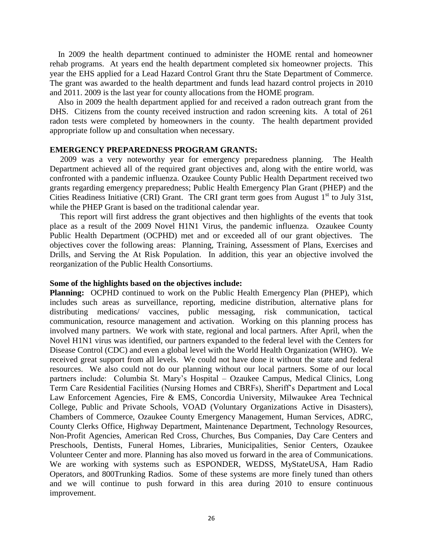In 2009 the health department continued to administer the HOME rental and homeowner rehab programs. At years end the health department completed six homeowner projects. This year the EHS applied for a Lead Hazard Control Grant thru the State Department of Commerce. The grant was awarded to the health department and funds lead hazard control projects in 2010 and 2011. 2009 is the last year for county allocations from the HOME program.

 Also in 2009 the health department applied for and received a radon outreach grant from the DHS. Citizens from the county received instruction and radon screening kits. A total of 261 radon tests were completed by homeowners in the county. The health department provided appropriate follow up and consultation when necessary.

#### **EMERGENCY PREPAREDNESS PROGRAM GRANTS:**

 2009 was a very noteworthy year for emergency preparedness planning. The Health Department achieved all of the required grant objectives and, along with the entire world, was confronted with a pandemic influenza. Ozaukee County Public Health Department received two grants regarding emergency preparedness; Public Health Emergency Plan Grant (PHEP) and the Cities Readiness Initiative (CRI) Grant. The CRI grant term goes from August  $1<sup>st</sup>$  to July 31st, while the PHEP Grant is based on the traditional calendar year.

 This report will first address the grant objectives and then highlights of the events that took place as a result of the 2009 Novel H1N1 Virus, the pandemic influenza. Ozaukee County Public Health Department (OCPHD) met and or exceeded all of our grant objectives. The objectives cover the following areas: Planning, Training, Assessment of Plans, Exercises and Drills, and Serving the At Risk Population. In addition, this year an objective involved the reorganization of the Public Health Consortiums.

#### **Some of the highlights based on the objectives include:**

**Planning:** OCPHD continued to work on the Public Health Emergency Plan (PHEP), which includes such areas as surveillance, reporting, medicine distribution, alternative plans for distributing medications/ vaccines, public messaging, risk communication, tactical communication, resource management and activation. Working on this planning process has involved many partners. We work with state, regional and local partners. After April, when the Novel H1N1 virus was identified, our partners expanded to the federal level with the Centers for Disease Control (CDC) and even a global level with the World Health Organization (WHO). We received great support from all levels. We could not have done it without the state and federal resources. We also could not do our planning without our local partners. Some of our local partners include: Columbia St. Mary's Hospital – Ozaukee Campus, Medical Clinics, Long Term Care Residential Facilities (Nursing Homes and CBRFs), Sheriff's Department and Local Law Enforcement Agencies, Fire & EMS, Concordia University, Milwaukee Area Technical College, Public and Private Schools, VOAD (Voluntary Organizations Active in Disasters), Chambers of Commerce, Ozaukee County Emergency Management, Human Services, ADRC, County Clerks Office, Highway Department, Maintenance Department, Technology Resources, Non-Profit Agencies, American Red Cross, Churches, Bus Companies, Day Care Centers and Preschools, Dentists, Funeral Homes, Libraries, Municipalities, Senior Centers, Ozaukee Volunteer Center and more. Planning has also moved us forward in the area of Communications. We are working with systems such as ESPONDER, WEDSS, MyStateUSA, Ham Radio Operators, and 800Trunking Radios. Some of these systems are more finely tuned than others and we will continue to push forward in this area during 2010 to ensure continuous improvement.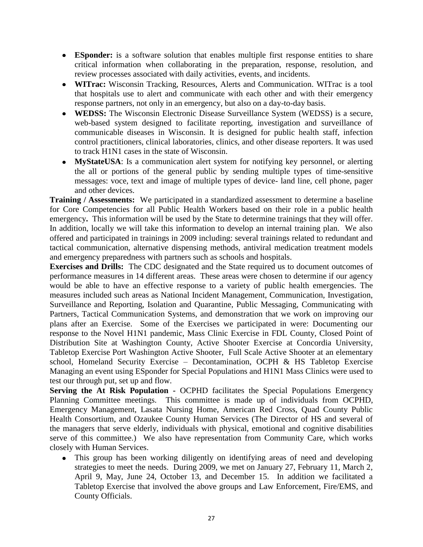- **ESponder:** is a software solution that enables multiple first response entities to share critical information when collaborating in the preparation, response, resolution, and review processes associated with daily activities, events, and incidents.
- **WITrac:** Wisconsin Tracking, Resources, Alerts and Communication. WITrac is a tool that hospitals use to alert and communicate with each other and with their emergency response partners, not only in an emergency, but also on a day-to-day basis.
- **WEDSS:** The Wisconsin Electronic Disease Surveillance System (WEDSS) is a secure, web-based system designed to facilitate reporting, investigation and surveillance of communicable diseases in Wisconsin. It is designed for public health staff, infection control practitioners, clinical laboratories, clinics, and other disease reporters. It was used to track H1N1 cases in the state of Wisconsin.
- **MyStateUSA**: Is a communication alert system for notifying key personnel, or alerting the all or portions of the general public by sending multiple types of time-sensitive messages: voce, text and image of multiple types of device- land line, cell phone, pager and other devices.

**Training / Assessments:** We participated in a standardized assessment to determine a baseline for Core Competencies for all Public Health Workers based on their role in a public health emergency**.** This information will be used by the State to determine trainings that they will offer. In addition, locally we will take this information to develop an internal training plan. We also offered and participated in trainings in 2009 including: several trainings related to redundant and tactical communication, alternative dispensing methods, antiviral medication treatment models and emergency preparedness with partners such as schools and hospitals.

**Exercises and Drills:** The CDC designated and the State required us to document outcomes of performance measures in 14 different areas. These areas were chosen to determine if our agency would be able to have an effective response to a variety of public health emergencies. The measures included such areas as National Incident Management, Communication, Investigation, Surveillance and Reporting, Isolation and Quarantine, Public Messaging, Communicating with Partners, Tactical Communication Systems, and demonstration that we work on improving our plans after an Exercise. Some of the Exercises we participated in were: Documenting our response to the Novel H1N1 pandemic, Mass Clinic Exercise in FDL County, Closed Point of Distribution Site at Washington County, Active Shooter Exercise at Concordia University, Tabletop Exercise Port Washington Active Shooter, Full Scale Active Shooter at an elementary school, Homeland Security Exercise – Decontamination, OCPH & HS Tabletop Exercise Managing an event using ESponder for Special Populations and H1N1 Mass Clinics were used to test our through put, set up and flow.

**Serving the At Risk Population -** OCPHD facilitates the Special Populations Emergency Planning Committee meetings. This committee is made up of individuals from OCPHD, Emergency Management, Lasata Nursing Home, American Red Cross, Quad County Public Health Consortium, and Ozaukee County Human Services (The Director of HS and several of the managers that serve elderly, individuals with physical, emotional and cognitive disabilities serve of this committee.) We also have representation from Community Care, which works closely with Human Services.

This group has been working diligently on identifying areas of need and developing strategies to meet the needs. During 2009, we met on January 27, February 11, March 2, April 9, May, June 24, October 13, and December 15. In addition we facilitated a Tabletop Exercise that involved the above groups and Law Enforcement, Fire/EMS, and County Officials.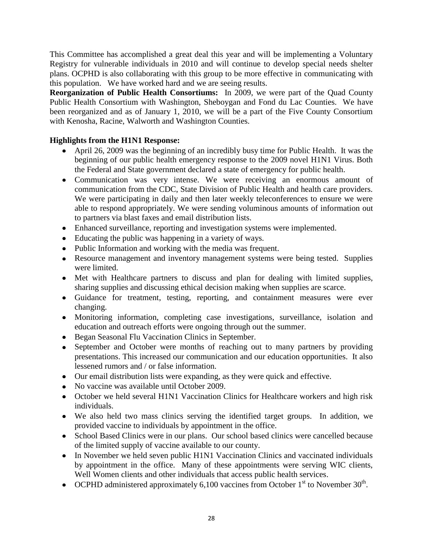This Committee has accomplished a great deal this year and will be implementing a Voluntary Registry for vulnerable individuals in 2010 and will continue to develop special needs shelter plans. OCPHD is also collaborating with this group to be more effective in communicating with this population. We have worked hard and we are seeing results.

**Reorganization of Public Health Consortiums:** In 2009, we were part of the Quad County Public Health Consortium with Washington, Sheboygan and Fond du Lac Counties. We have been reorganized and as of January 1, 2010, we will be a part of the Five County Consortium with Kenosha, Racine, Walworth and Washington Counties.

#### **Highlights from the H1N1 Response:**

- April 26, 2009 was the beginning of an incredibly busy time for Public Health. It was the beginning of our public health emergency response to the 2009 novel H1N1 Virus. Both the Federal and State government declared a state of emergency for public health.
- Communication was very intense. We were receiving an enormous amount of communication from the CDC, State Division of Public Health and health care providers. We were participating in daily and then later weekly teleconferences to ensure we were able to respond appropriately. We were sending voluminous amounts of information out to partners via blast faxes and email distribution lists.
- Enhanced surveillance, reporting and investigation systems were implemented.
- Educating the public was happening in a variety of ways.
- Public Information and working with the media was frequent.
- Resource management and inventory management systems were being tested. Supplies were limited.
- Met with Healthcare partners to discuss and plan for dealing with limited supplies, sharing supplies and discussing ethical decision making when supplies are scarce.
- Guidance for treatment, testing, reporting, and containment measures were ever changing.
- Monitoring information, completing case investigations, surveillance, isolation and education and outreach efforts were ongoing through out the summer.
- Began Seasonal Flu Vaccination Clinics in September.
- September and October were months of reaching out to many partners by providing presentations. This increased our communication and our education opportunities. It also lessened rumors and / or false information.
- Our email distribution lists were expanding, as they were quick and effective.
- No vaccine was available until October 2009.
- October we held several H1N1 Vaccination Clinics for Healthcare workers and high risk individuals.
- We also held two mass clinics serving the identified target groups. In addition, we provided vaccine to individuals by appointment in the office.
- School Based Clinics were in our plans. Our school based clinics were cancelled because of the limited supply of vaccine available to our county.
- In November we held seven public H1N1 Vaccination Clinics and vaccinated individuals by appointment in the office. Many of these appointments were serving WIC clients, Well Women clients and other individuals that access public health services.
- OCPHD administered approximately 6,100 vaccines from October  $1<sup>st</sup>$  to November  $30<sup>th</sup>$ .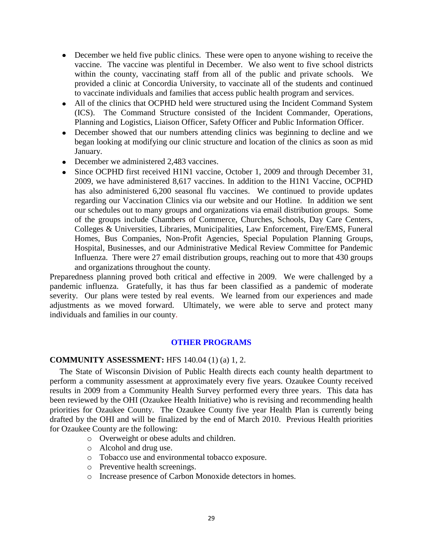- December we held five public clinics. These were open to anyone wishing to receive the vaccine. The vaccine was plentiful in December. We also went to five school districts within the county, vaccinating staff from all of the public and private schools. We provided a clinic at Concordia University, to vaccinate all of the students and continued to vaccinate individuals and families that access public health program and services.
- All of the clinics that OCPHD held were structured using the Incident Command System (ICS). The Command Structure consisted of the Incident Commander, Operations, Planning and Logistics, Liaison Officer, Safety Officer and Public Information Officer.
- December showed that our numbers attending clinics was beginning to decline and we began looking at modifying our clinic structure and location of the clinics as soon as mid January.
- December we administered 2.483 vaccines.
- Since OCPHD first received H1N1 vaccine, October 1, 2009 and through December 31, 2009, we have administered 8,617 vaccines. In addition to the H1N1 Vaccine, OCPHD has also administered 6,200 seasonal flu vaccines. We continued to provide updates regarding our Vaccination Clinics via our website and our Hotline. In addition we sent our schedules out to many groups and organizations via email distribution groups. Some of the groups include Chambers of Commerce, Churches, Schools, Day Care Centers, Colleges & Universities, Libraries, Municipalities, Law Enforcement, Fire/EMS, Funeral Homes, Bus Companies, Non-Profit Agencies, Special Population Planning Groups, Hospital, Businesses, and our Administrative Medical Review Committee for Pandemic Influenza. There were 27 email distribution groups, reaching out to more that 430 groups and organizations throughout the county.

Preparedness planning proved both critical and effective in 2009. We were challenged by a pandemic influenza. Gratefully, it has thus far been classified as a pandemic of moderate severity. Our plans were tested by real events. We learned from our experiences and made adjustments as we moved forward. Ultimately, we were able to serve and protect many individuals and families in our county.

#### **OTHER PROGRAMS**

#### **COMMUNITY ASSESSMENT:** HFS 140.04 (1) (a) 1, 2.

The State of Wisconsin Division of Public Health directs each county health department to perform a community assessment at approximately every five years. Ozaukee County received results in 2009 from a Community Health Survey performed every three years. This data has been reviewed by the OHI (Ozaukee Health Initiative) who is revising and recommending health priorities for Ozaukee County. The Ozaukee County five year Health Plan is currently being drafted by the OHI and will be finalized by the end of March 2010. Previous Health priorities for Ozaukee County are the following:

- o Overweight or obese adults and children.
- o Alcohol and drug use.
- o Tobacco use and environmental tobacco exposure.
- o Preventive health screenings.
- o Increase presence of Carbon Monoxide detectors in homes.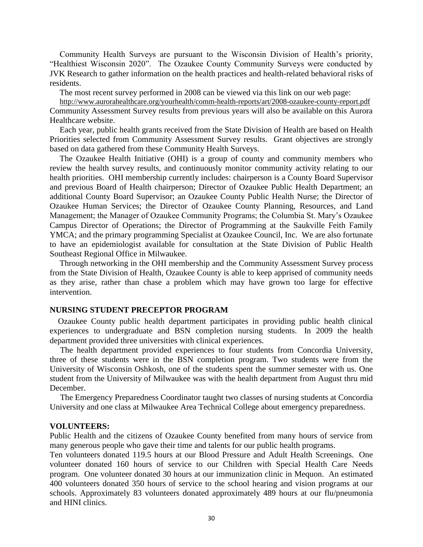Community Health Surveys are pursuant to the Wisconsin Division of Health's priority, "Healthiest Wisconsin 2020". The Ozaukee County Community Surveys were conducted by JVK Research to gather information on the health practices and health-related behavioral risks of residents.

The most recent survey performed in 2008 can be viewed via this link on our web page:

<http://www.aurorahealthcare.org/yourhealth/comm-health-reports/art/2008-ozaukee-county-report.pdf> Community Assessment Survey results from previous years will also be available on this Aurora Healthcare website.

Each year, public health grants received from the State Division of Health are based on Health Priorities selected from Community Assessment Survey results. Grant objectives are strongly based on data gathered from these Community Health Surveys.

The Ozaukee Health Initiative (OHI) is a group of county and community members who review the health survey results, and continuously monitor community activity relating to our health priorities. OHI membership currently includes: chairperson is a County Board Supervisor and previous Board of Health chairperson; Director of Ozaukee Public Health Department; an additional County Board Supervisor; an Ozaukee County Public Health Nurse; the Director of Ozaukee Human Services; the Director of Ozaukee County Planning, Resources, and Land Management; the Manager of Ozaukee Community Programs; the Columbia St. Mary's Ozaukee Campus Director of Operations; the Director of Programming at the Saukville Feith Family YMCA; and the primary programming Specialist at Ozaukee Council, Inc. We are also fortunate to have an epidemiologist available for consultation at the State Division of Public Health Southeast Regional Office in Milwaukee.

Through networking in the OHI membership and the Community Assessment Survey process from the State Division of Health, Ozaukee County is able to keep apprised of community needs as they arise, rather than chase a problem which may have grown too large for effective intervention.

#### **NURSING STUDENT PRECEPTOR PROGRAM**

 Ozaukee County public health department participates in providing public health clinical experiences to undergraduate and BSN completion nursing students. In 2009 the health department provided three universities with clinical experiences.

 The health department provided experiences to four students from Concordia University, three of these students were in the BSN completion program. Two students were from the University of Wisconsin Oshkosh, one of the students spent the summer semester with us. One student from the University of Milwaukee was with the health department from August thru mid December.

 The Emergency Preparedness Coordinator taught two classes of nursing students at Concordia University and one class at Milwaukee Area Technical College about emergency preparedness.

#### **VOLUNTEERS:**

Public Health and the citizens of Ozaukee County benefited from many hours of service from many generous people who gave their time and talents for our public health programs.

Ten volunteers donated 119.5 hours at our Blood Pressure and Adult Health Screenings. One volunteer donated 160 hours of service to our Children with Special Health Care Needs program. One volunteer donated 30 hours at our immunization clinic in Mequon. An estimated 400 volunteers donated 350 hours of service to the school hearing and vision programs at our schools. Approximately 83 volunteers donated approximately 489 hours at our flu/pneumonia and HINI clinics.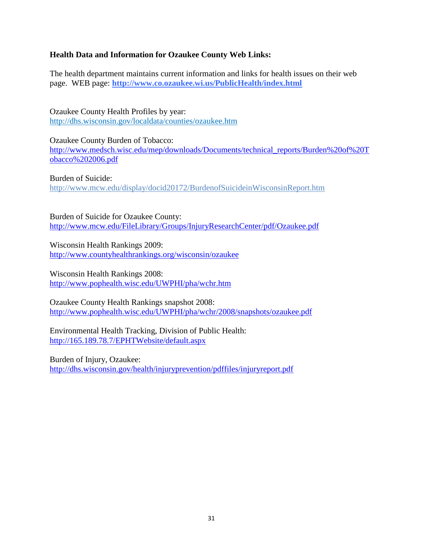#### **Health Data and Information for Ozaukee County Web Links:**

The health department maintains current information and links for health issues on their web page. WEB page: **<http://www.co.ozaukee.wi.us/PublicHealth/index.html>**

Ozaukee County Health Profiles by year: <http://dhs.wisconsin.gov/localdata/counties/ozaukee.htm>

Ozaukee County Burden of Tobacco: [http://www.medsch.wisc.edu/mep/downloads/Documents/technical\\_reports/Burden%20of%20T](http://www.medsch.wisc.edu/mep/downloads/Documents/technical_reports/Burden%20of%20Tobacco%202006.pdf) [obacco%202006.pdf](http://www.medsch.wisc.edu/mep/downloads/Documents/technical_reports/Burden%20of%20Tobacco%202006.pdf)

Burden of Suicide: <http://www.mcw.edu/display/docid20172/BurdenofSuicideinWisconsinReport.htm>

Burden of Suicide for Ozaukee County: <http://www.mcw.edu/FileLibrary/Groups/InjuryResearchCenter/pdf/Ozaukee.pdf>

Wisconsin Health Rankings 2009: <http://www.countyhealthrankings.org/wisconsin/ozaukee>

Wisconsin Health Rankings 2008: <http://www.pophealth.wisc.edu/UWPHI/pha/wchr.htm>

Ozaukee County Health Rankings snapshot 2008: <http://www.pophealth.wisc.edu/UWPHI/pha/wchr/2008/snapshots/ozaukee.pdf>

Environmental Health Tracking, Division of Public Health: <http://165.189.78.7/EPHTWebsite/default.aspx>

Burden of Injury, Ozaukee: <http://dhs.wisconsin.gov/health/injuryprevention/pdffiles/injuryreport.pdf>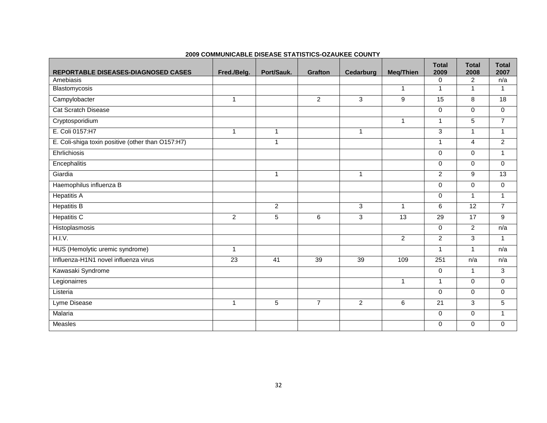| <b>REPORTABLE DISEASES-DIAGNOSED CASES</b>        | Fred./Belg.  | Port/Sauk.     | <b>Grafton</b> | Cedarburg      | <b>Meg/Thien</b> | <b>Total</b><br>2009 | <b>Total</b><br>2008 | <b>Total</b><br>2007 |
|---------------------------------------------------|--------------|----------------|----------------|----------------|------------------|----------------------|----------------------|----------------------|
| Amebiasis                                         |              |                |                |                |                  | $\mathbf 0$          | $\overline{2}$       | n/a                  |
| Blastomycosis                                     |              |                |                |                | $\mathbf{1}$     | $\mathbf{1}$         | $\mathbf{1}$         | $\mathbf{1}$         |
| Campylobacter                                     | $\mathbf{1}$ |                | $\overline{2}$ | 3              | 9                | 15                   | 8                    | 18                   |
| <b>Cat Scratch Disease</b>                        |              |                |                |                |                  | $\mathbf 0$          | $\Omega$             | $\mathbf 0$          |
| Cryptosporidium                                   |              |                |                |                | $\mathbf{1}$     | $\mathbf{1}$         | 5                    | $\overline{7}$       |
| E. Coli 0157:H7                                   | $\mathbf{1}$ | $\mathbf{1}$   |                | 1              |                  | 3                    | $\overline{1}$       | $\mathbf{1}$         |
| E. Coli-shiga toxin positive (other than O157:H7) |              | $\mathbf{1}$   |                |                |                  | $\mathbf{1}$         | 4                    | $\overline{2}$       |
| Ehrlichiosis                                      |              |                |                |                |                  | $\Omega$             | $\Omega$             | $\mathbf{1}$         |
| Encephalitis                                      |              |                |                |                |                  | $\Omega$             | $\Omega$             | $\Omega$             |
| Giardia                                           |              | $\mathbf{1}$   |                | 1              |                  | $\overline{2}$       | 9                    | $\overline{13}$      |
| Haemophilus influenza B                           |              |                |                |                |                  | $\mathbf 0$          | $\Omega$             | $\mathbf 0$          |
| <b>Hepatitis A</b>                                |              |                |                |                |                  | $\mathbf 0$          | $\mathbf{1}$         | $\mathbf{1}$         |
| <b>Hepatitis B</b>                                |              | $\overline{c}$ |                | 3              | $\mathbf{1}$     | 6                    | $\overline{12}$      | $\overline{7}$       |
| <b>Hepatitis C</b>                                | 2            | 5              | 6              | 3              | 13               | 29                   | 17                   | 9                    |
| Histoplasmosis                                    |              |                |                |                |                  | $\mathbf 0$          | 2                    | n/a                  |
| H.I.V.                                            |              |                |                |                | $\overline{2}$   | $\overline{2}$       | 3                    | $\mathbf{1}$         |
| HUS (Hemolytic uremic syndrome)                   | $\mathbf{1}$ |                |                |                |                  | $\mathbf{1}$         | $\mathbf{1}$         | n/a                  |
| Influenza-H1N1 novel influenza virus              | 23           | 41             | 39             | 39             | 109              | 251                  | n/a                  | n/a                  |
| Kawasaki Syndrome                                 |              |                |                |                |                  | $\mathbf 0$          | $\mathbf{1}$         | 3                    |
| Legionairres                                      |              |                |                |                | 1                | $\mathbf{1}$         | $\mathbf 0$          | $\mathbf 0$          |
| Listeria                                          |              |                |                |                |                  | $\mathbf 0$          | $\mathbf 0$          | $\mathbf 0$          |
| Lyme Disease                                      | $\mathbf{1}$ | 5              | $\overline{7}$ | $\overline{2}$ | 6                | $\overline{21}$      | 3                    | 5                    |
| Malaria                                           |              |                |                |                |                  | $\mathbf 0$          | $\mathbf 0$          | $\mathbf{1}$         |
| Measles                                           |              |                |                |                |                  | $\mathbf 0$          | $\mathbf 0$          | $\Omega$             |

#### **2009 COMMUNICABLE DISEASE STATISTICS-OZAUKEE COUNTY**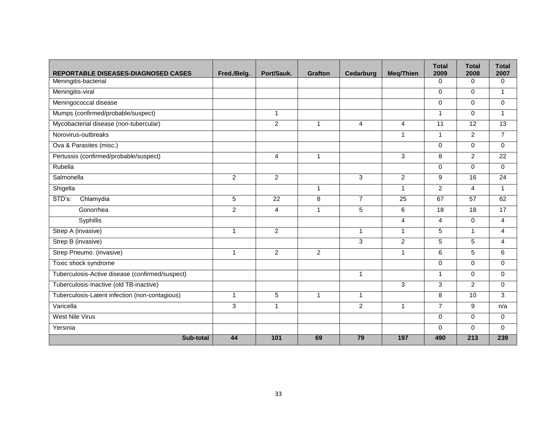| REPORTABLE DISEASES-DIAGNOSED CASES             | Fred./Belg.    | Port/Sauk.     | <b>Grafton</b> | Cedarburg      | <b>Meg/Thien</b> | <b>Total</b><br>2009 | <b>Total</b><br>2008 | <b>Total</b><br>2007 |
|-------------------------------------------------|----------------|----------------|----------------|----------------|------------------|----------------------|----------------------|----------------------|
| Meningitis-bacterial                            |                |                |                |                |                  | $\Omega$             | $\Omega$             | $\Omega$             |
| Meningitis-viral                                |                |                |                |                |                  | $\mathbf 0$          | $\mathbf 0$          | $\mathbf{1}$         |
| Meningococcal disease                           |                |                |                |                |                  | $\mathbf 0$          | $\mathbf 0$          | $\mathbf 0$          |
| Mumps (confirmed/probable/suspect)              |                | 1              |                |                |                  | $\overline{1}$       | $\Omega$             | $\mathbf{1}$         |
| Mycobacterial disease (non-tubercular)          |                | $\overline{2}$ | $\mathbf{1}$   | $\overline{4}$ | 4                | 11                   | $\overline{12}$      | 13                   |
| Norovirus-outbreaks                             |                |                |                |                | $\mathbf{1}$     | $\mathbf{1}$         | $\overline{2}$       | $\overline{7}$       |
| Ova & Parasites (misc.)                         |                |                |                |                |                  | $\Omega$             | $\Omega$             | $\Omega$             |
| Pertussis (confirmed/probable/suspect)          |                | 4              | 1              |                | $\mathbf{3}$     | 8                    | $\overline{2}$       | 22                   |
| Rubella                                         |                |                |                |                |                  | $\mathbf 0$          | $\Omega$             | $\Omega$             |
| Salmonella                                      | $\overline{2}$ | $\overline{2}$ |                | 3              | $\overline{2}$   | 9                    | 16                   | $\overline{24}$      |
| Shigella                                        |                |                | $\mathbf{1}$   |                | $\mathbf{1}$     | $\overline{2}$       | 4                    | $\mathbf{1}$         |
| STD's:<br>Chlamydia                             | 5              | 22             | 8              | $\overline{7}$ | 25               | 67                   | 57                   | 62                   |
| Gonorrhea                                       | $\overline{c}$ | 4              | $\mathbf{1}$   | 5              | 6                | 18                   | $\overline{18}$      | 17                   |
| Syphillis                                       |                |                |                |                | $\overline{4}$   | $\overline{4}$       | $\mathbf 0$          | 4                    |
| Strep A (invasive)                              | $\mathbf{1}$   | $\overline{2}$ |                | $\mathbf{1}$   | $\mathbf{1}$     | 5                    | $\mathbf{1}$         | 4                    |
| Strep B (invasive)                              |                |                |                | 3              | $\overline{2}$   | $\overline{5}$       | $\overline{5}$       | 4                    |
| Strep Pneumo. (invasive)                        | $\mathbf{1}$   | $\overline{2}$ | $\overline{2}$ |                | $\mathbf{1}$     | 6                    | 5                    | 6                    |
| Toxic shock syndrome                            |                |                |                |                |                  | $\Omega$             | $\Omega$             | $\mathbf 0$          |
| Tuberculosis-Active disease (confirmed/suspect) |                |                |                | $\mathbf{1}$   |                  | $\mathbf{1}$         | $\mathbf 0$          | $\mathbf 0$          |
| Tuberculosis-Inactive (old TB-inactive)         |                |                |                |                | 3                | 3                    | $\overline{2}$       | $\Omega$             |
| Tuberculosis-Latent infection (non-contagious)  | $\mathbf{1}$   | $\overline{5}$ | $\mathbf{1}$   | $\mathbf{1}$   |                  | 8                    | 10                   | 3                    |
| Varicella                                       | 3              | $\mathbf{1}$   |                | $\overline{2}$ | $\mathbf{1}$     | $\overline{7}$       | 9                    | n/a                  |
| <b>West Nile Virus</b>                          |                |                |                |                |                  | $\Omega$             | $\Omega$             | $\mathbf 0$          |
| Yersinia                                        |                |                |                |                |                  | $\mathbf 0$          | $\mathbf 0$          | $\mathbf 0$          |
| Sub-total                                       | 44             | 101            | 69             | 79             | 197              | 490                  | 213                  | 239                  |